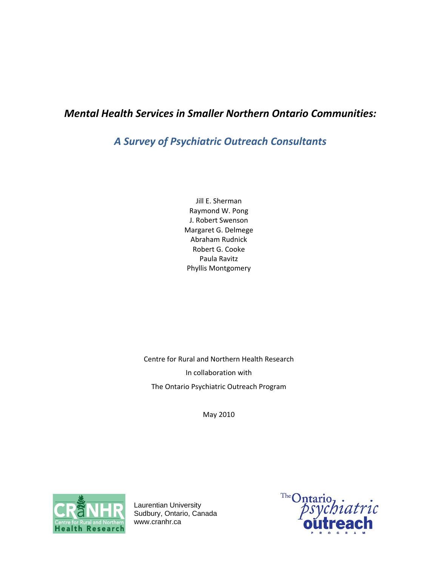# *Mental Health Services in Smaller Northern Ontario Communities:*

# *A Survey of Psychiatric Outreach Consultants*

Jill E. Sherman Raymond W. Pong J. Robert Swenson Margaret G. Delmege Abraham Rudnick Robert G. Cooke Paula Ravitz Phyllis Montgomery

Centre for Rural and Northern Health Research In collaboration with The Ontario Psychiatric Outreach Program

May 2010



Laurentian University Sudbury, Ontario, Canada www.cranhr.ca

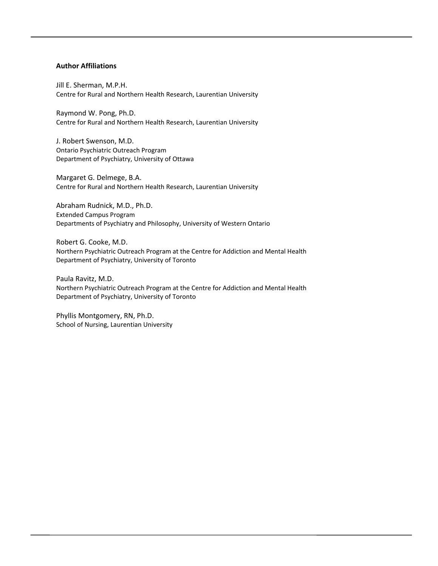#### **Author Affiliations**

Jill E. Sherman, M.P.H. Centre for Rural and Northern Health Research, Laurentian University

Raymond W. Pong, Ph.D. Centre for Rural and Northern Health Research, Laurentian University

J. Robert Swenson, M.D. Ontario Psychiatric Outreach Program Department of Psychiatry, University of Ottawa

Margaret G. Delmege, B.A. Centre for Rural and Northern Health Research, Laurentian University

Abraham Rudnick, M.D., Ph.D. Extended Campus Program Departments of Psychiatry and Philosophy, University of Western Ontario

Robert G. Cooke, M.D. Northern Psychiatric Outreach Program at the Centre for Addiction and Mental Health Department of Psychiatry, University of Toronto

Paula Ravitz, M.D. Northern Psychiatric Outreach Program at the Centre for Addiction and Mental Health Department of Psychiatry, University of Toronto

Phyllis Montgomery, RN, Ph.D. School of Nursing, Laurentian University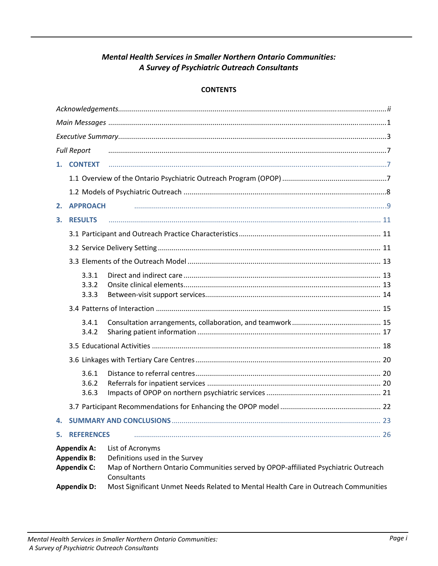# **Mental Health Services in Smaller Northern Ontario Communities:** A Survey of Psychiatric Outreach Consultants

### **CONTENTS**

| <b>Full Report</b>                                                                   |                         |                                                                                                                                                                                                                                               |  |  |  |
|--------------------------------------------------------------------------------------|-------------------------|-----------------------------------------------------------------------------------------------------------------------------------------------------------------------------------------------------------------------------------------------|--|--|--|
|                                                                                      | 1. CONTEXT              |                                                                                                                                                                                                                                               |  |  |  |
|                                                                                      |                         |                                                                                                                                                                                                                                               |  |  |  |
|                                                                                      |                         |                                                                                                                                                                                                                                               |  |  |  |
| 2.                                                                                   | <b>APPROACH</b>         |                                                                                                                                                                                                                                               |  |  |  |
| 3.                                                                                   | <b>RESULTS</b>          |                                                                                                                                                                                                                                               |  |  |  |
|                                                                                      |                         |                                                                                                                                                                                                                                               |  |  |  |
|                                                                                      |                         |                                                                                                                                                                                                                                               |  |  |  |
|                                                                                      |                         |                                                                                                                                                                                                                                               |  |  |  |
|                                                                                      | 3.3.1<br>3.3.2<br>3.3.3 |                                                                                                                                                                                                                                               |  |  |  |
|                                                                                      |                         |                                                                                                                                                                                                                                               |  |  |  |
|                                                                                      | 3.4.1<br>3.4.2          |                                                                                                                                                                                                                                               |  |  |  |
|                                                                                      |                         |                                                                                                                                                                                                                                               |  |  |  |
|                                                                                      |                         |                                                                                                                                                                                                                                               |  |  |  |
|                                                                                      | 3.6.1<br>3.6.2<br>3.6.3 |                                                                                                                                                                                                                                               |  |  |  |
|                                                                                      |                         |                                                                                                                                                                                                                                               |  |  |  |
| 4.                                                                                   |                         |                                                                                                                                                                                                                                               |  |  |  |
| 5.                                                                                   | <b>REFERENCES</b>       |                                                                                                                                                                                                                                               |  |  |  |
| <b>Appendix A:</b><br><b>Appendix B:</b><br><b>Appendix C:</b><br><b>Appendix D:</b> |                         | List of Acronyms<br>Definitions used in the Survey<br>Map of Northern Ontario Communities served by OPOP-affiliated Psychiatric Outreach<br>Consultants<br>Most Significant Unmet Needs Related to Mental Health Care in Outreach Communities |  |  |  |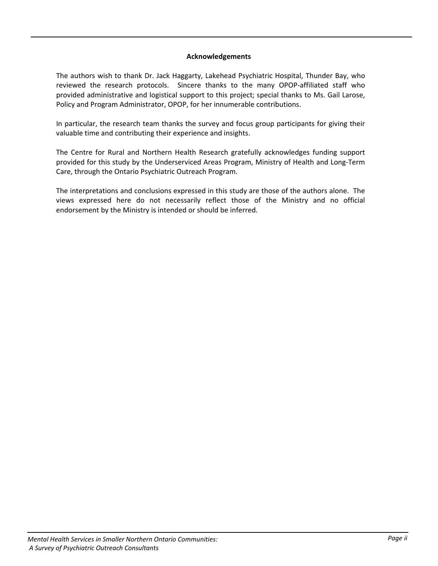#### **Acknowledgements**

The authors wish to thank Dr. Jack Haggarty, Lakehead Psychiatric Hospital, Thunder Bay, who reviewed the research protocols. Sincere thanks to the many OPOP-affiliated staff who provided administrative and logistical support to this project; special thanks to Ms. Gail Larose, Policy and Program Administrator, OPOP, for her innumerable contributions.

In particular, the research team thanks the survey and focus group participants for giving their valuable time and contributing their experience and insights.

The Centre for Rural and Northern Health Research gratefully acknowledges funding support provided for this study by the Underserviced Areas Program, Ministry of Health and Long‐Term Care, through the Ontario Psychiatric Outreach Program.

The interpretations and conclusions expressed in this study are those of the authors alone. The views expressed here do not necessarily reflect those of the Ministry and no official endorsement by the Ministry is intended or should be inferred.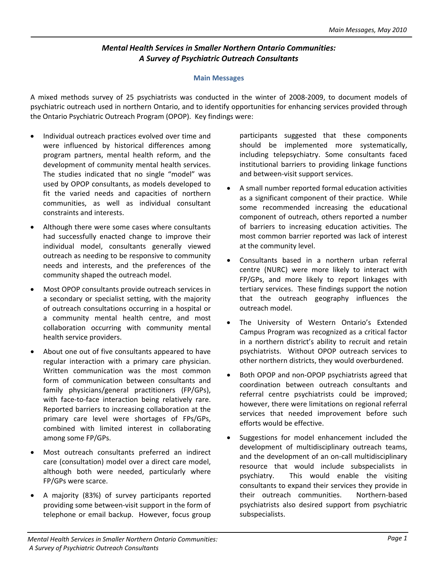# *Mental Health Services in Smaller Northern Ontario Communities: A Survey of Psychiatric Outreach Consultants*

#### **Main Messages**

A mixed methods survey of 25 psychiatrists was conducted in the winter of 2008‐2009, to document models of psychiatric outreach used in northern Ontario, and to identify opportunities for enhancing services provided through the Ontario Psychiatric Outreach Program (OPOP). Key findings were:

- Individual outreach practices evolved over time and were influenced by historical differences among program partners, mental health reform, and the development of community mental health services. The studies indicated that no single "model" was used by OPOP consultants, as models developed to fit the varied needs and capacities of northern communities, as well as individual consultant constraints and interests.
- Although there were some cases where consultants had successfully enacted change to improve their individual model, consultants generally viewed outreach as needing to be responsive to community needs and interests, and the preferences of the community shaped the outreach model.
- Most OPOP consultants provide outreach services in a secondary or specialist setting, with the majority of outreach consultations occurring in a hospital or a community mental health centre, and most collaboration occurring with community mental health service providers.
- About one out of five consultants appeared to have regular interaction with a primary care physician. Written communication was the most common form of communication between consultants and family physicians/general practitioners (FP/GPs), with face-to-face interaction being relatively rare. Reported barriers to increasing collaboration at the primary care level were shortages of FPs/GPs, combined with limited interest in collaborating among some FP/GPs.
- Most outreach consultants preferred an indirect care (consultation) model over a direct care model, although both were needed, particularly where FP/GPs were scarce.
- A majority (83%) of survey participants reported providing some between‐visit support in the form of telephone or email backup. However, focus group

participants suggested that these components should be implemented more systematically, including telepsychiatry. Some consultants faced institutional barriers to providing linkage functions and between‐visit support services.

- A small number reported formal education activities as a significant component of their practice. While some recommended increasing the educational component of outreach, others reported a number of barriers to increasing education activities. The most common barrier reported was lack of interest at the community level.
- Consultants based in a northern urban referral centre (NURC) were more likely to interact with FP/GPs, and more likely to report linkages with tertiary services. These findings support the notion that the outreach geography influences the outreach model.
- The University of Western Ontario's Extended Campus Program was recognized as a critical factor in a northern district's ability to recruit and retain psychiatrists. Without OPOP outreach services to other northern districts, they would overburdened.
- Both OPOP and non-OPOP psychiatrists agreed that coordination between outreach consultants and referral centre psychiatrists could be improved; however, there were limitations on regional referral services that needed improvement before such efforts would be effective.
- Suggestions for model enhancement included the development of multidisciplinary outreach teams, and the development of an on‐call multidisciplinary resource that would include subspecialists in psychiatry. This would enable the visiting consultants to expand their services they provide in their outreach communities. Northern‐based psychiatrists also desired support from psychiatric subspecialists.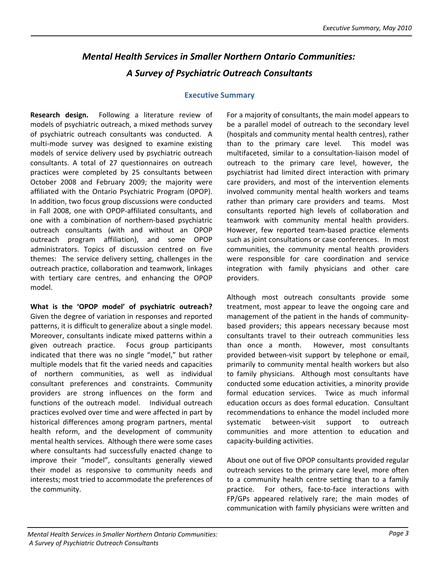# *Mental Health Services in Smaller Northern Ontario Communities: A Survey of Psychiatric Outreach Consultants*

#### **Executive Summary**

**Research design.** Following a literature review of models of psychiatric outreach, a mixed methods survey of psychiatric outreach consultants was conducted. A multi-mode survey was designed to examine existing models of service delivery used by psychiatric outreach consultants. A total of 27 questionnaires on outreach practices were completed by 25 consultants between October 2008 and February 2009; the majority were affiliated with the Ontario Psychiatric Program (OPOP). In addition, two focus group discussions were conducted in Fall 2008, one with OPOP‐affiliated consultants, and one with a combination of northern‐based psychiatric outreach consultants (with and without an OPOP outreach program affiliation), and some OPOP administrators. Topics of discussion centred on five themes: The service delivery setting, challenges in the outreach practice, collaboration and teamwork, linkages with tertiary care centres, and enhancing the OPOP model.

**What is the 'OPOP model' of psychiatric outreach?** Given the degree of variation in responses and reported patterns, it is difficult to generalize about a single model. Moreover, consultants indicate mixed patterns within a given outreach practice. Focus group participants indicated that there was no single "model," but rather multiple models that fit the varied needs and capacities of northern communities, as well as individual consultant preferences and constraints. Community providers are strong influences on the form and functions of the outreach model. Individual outreach practices evolved over time and were affected in part by historical differences among program partners, mental health reform, and the development of community mental health services. Although there were some cases where consultants had successfully enacted change to improve their "model", consultants generally viewed their model as responsive to community needs and interests; most tried to accommodate the preferences of the community.

For a majority of consultants, the main model appears to be a parallel model of outreach to the secondary level (hospitals and community mental health centres), rather than to the primary care level. This model was multifaceted, similar to a consultation‐liaison model of outreach to the primary care level, however, the psychiatrist had limited direct interaction with primary care providers, and most of the intervention elements involved community mental health workers and teams rather than primary care providers and teams. Most consultants reported high levels of collaboration and teamwork with community mental health providers. However, few reported team‐based practice elements such as joint consultations or case conferences. In most communities, the community mental health providers were responsible for care coordination and service integration with family physicians and other care providers.

Although most outreach consultants provide some treatment, most appear to leave the ongoing care and management of the patient in the hands of community‐ based providers; this appears necessary because most consultants travel to their outreach communities less than once a month. However, most consultants provided between-visit support by telephone or email, primarily to community mental health workers but also to family physicians. Although most consultants have conducted some education activities, a minority provide formal education services. Twice as much informal education occurs as does formal education. Consultant recommendations to enhance the model included more systematic between-visit support to outreach communities and more attention to education and capacity‐building activities.

About one out of five OPOP consultants provided regular outreach services to the primary care level, more often to a community health centre setting than to a family practice. For others, face-to-face interactions with FP/GPs appeared relatively rare; the main modes of communication with family physicians were written and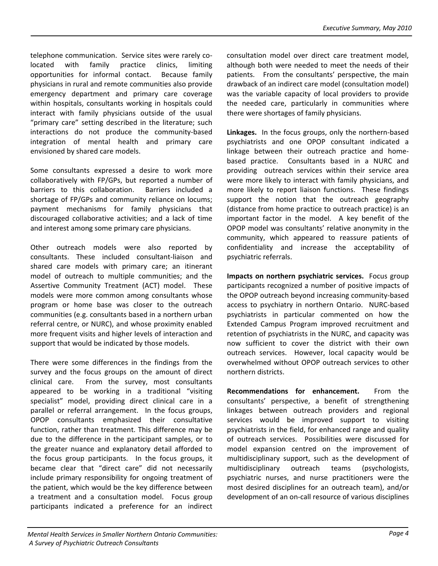telephone communication. Service sites were rarely colocated with family practice clinics, limiting opportunities for informal contact. Because family physicians in rural and remote communities also provide emergency department and primary care coverage within hospitals, consultants working in hospitals could interact with family physicians outside of the usual "primary care" setting described in the literature; such interactions do not produce the community‐based integration of mental health and primary care envisioned by shared care models.

Some consultants expressed a desire to work more collaboratively with FP/GPs, but reported a number of barriers to this collaboration. Barriers included a shortage of FP/GPs and community reliance on locums; payment mechanisms for family physicians that discouraged collaborative activities; and a lack of time and interest among some primary care physicians.

Other outreach models were also reported by consultants. These included consultant‐liaison and shared care models with primary care; an itinerant model of outreach to multiple communities; and the Assertive Community Treatment (ACT) model. These models were more common among consultants whose program or home base was closer to the outreach communities (e.g. consultants based in a northern urban referral centre, or NURC), and whose proximity enabled more frequent visits and higher levels of interaction and support that would be indicated by those models.

There were some differences in the findings from the survey and the focus groups on the amount of direct clinical care. From the survey, most consultants appeared to be working in a traditional "visiting specialist" model, providing direct clinical care in a parallel or referral arrangement. In the focus groups, OPOP consultants emphasized their consultative function, rather than treatment. This difference may be due to the difference in the participant samples, or to the greater nuance and explanatory detail afforded to the focus group participants. In the focus groups, it became clear that "direct care" did not necessarily include primary responsibility for ongoing treatment of the patient, which would be the key difference between a treatment and a consultation model. Focus group participants indicated a preference for an indirect

consultation model over direct care treatment model, although both were needed to meet the needs of their patients. From the consultants' perspective, the main drawback of an indirect care model (consultation model) was the variable capacity of local providers to provide the needed care, particularly in communities where there were shortages of family physicians.

Linkages. In the focus groups, only the northern-based psychiatrists and one OPOP consultant indicated a linkage between their outreach practice and home‐ based practice. Consultants based in a NURC and providing outreach services within their service area were more likely to interact with family physicians, and more likely to report liaison functions. These findings support the notion that the outreach geography (distance from home practice to outreach practice) is an important factor in the model. A key benefit of the OPOP model was consultants' relative anonymity in the community, which appeared to reassure patients of confidentiality and increase the acceptability of psychiatric referrals.

**Impacts on northern psychiatric services.** Focus group participants recognized a number of positive impacts of the OPOP outreach beyond increasing community‐based access to psychiatry in northern Ontario. NURC‐based psychiatrists in particular commented on how the Extended Campus Program improved recruitment and retention of psychiatrists in the NURC, and capacity was now sufficient to cover the district with their own outreach services. However, local capacity would be overwhelmed without OPOP outreach services to other northern districts.

**Recommendations for enhancement.** From the consultants' perspective, a benefit of strengthening linkages between outreach providers and regional services would be improved support to visiting psychiatrists in the field, for enhanced range and quality of outreach services. Possibilities were discussed for model expansion centred on the improvement of multidisciplinary support, such as the development of multidisciplinary outreach teams (psychologists, psychiatric nurses, and nurse practitioners were the most desired disciplines for an outreach team), and/or development of an on‐call resource of various disciplines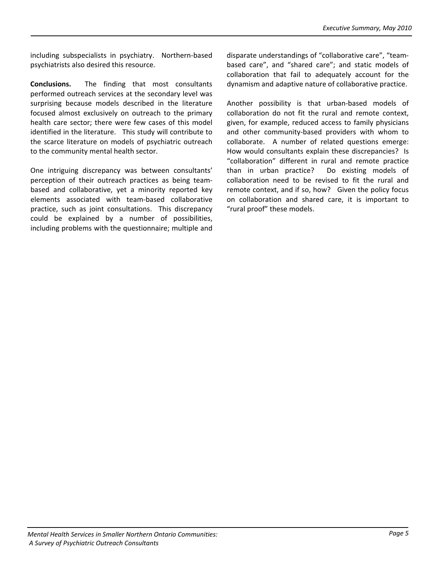including subspecialists in psychiatry. Northern-based psychiatrists also desired this resource.

**Conclusions.**  The finding that most consultants performed outreach services at the secondary level was surprising because models described in the literature focused almost exclusively on outreach to the primary health care sector; there were few cases of this model identified in the literature. This study will contribute to the scarce literature on models of psychiatric outreach to the community mental health sector.

One intriguing discrepancy was between consultants' perception of their outreach practices as being team‐ based and collaborative, yet a minority reported key elements associated with team‐based collaborative practice, such as joint consultations. This discrepancy could be explained by a number of possibilities, including problems with the questionnaire; multiple and disparate understandings of "collaborative care", "team‐ based care", and "shared care"; and static models of collaboration that fail to adequately account for the dynamism and adaptive nature of collaborative practice.

Another possibility is that urban‐based models of collaboration do not fit the rural and remote context, given, for example, reduced access to family physicians and other community‐based providers with whom to collaborate. A number of related questions emerge: How would consultants explain these discrepancies? Is "collaboration" different in rural and remote practice than in urban practice? Do existing models of collaboration need to be revised to fit the rural and remote context, and if so, how? Given the policy focus on collaboration and shared care, it is important to "rural proof" these models.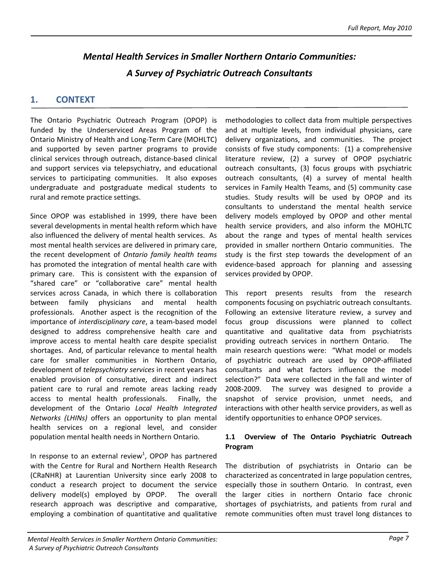# *Mental Health Services in Smaller Northern Ontario Communities: A Survey of Psychiatric Outreach Consultants*

# **1. CONTEXT**

The Ontario Psychiatric Outreach Program (OPOP) is funded by the Underserviced Areas Program of the Ontario Ministry of Health and Long‐Term Care (MOHLTC) and supported by seven partner programs to provide clinical services through outreach, distance‐based clinical and support services via telepsychiatry, and educational services to participating communities. It also exposes undergraduate and postgraduate medical students to rural and remote practice settings.

Since OPOP was established in 1999, there have been several developments in mental health reform which have also influenced the delivery of mental health services. As most mental health services are delivered in primary care, the recent development of *Ontario family health teams* has promoted the integration of mental health care with primary care. This is consistent with the expansion of "shared care" or "collaborative care" mental health services across Canada, in which there is collaboration between family physicians and mental health professionals. Another aspect is the recognition of the importance of *interdisciplinary care*, a team‐based model designed to address comprehensive health care and improve access to mental health care despite specialist shortages. And, of particular relevance to mental health care for smaller communities in Northern Ontario, development of *telepsychiatry services* in recent years has enabled provision of consultative, direct and indirect patient care to rural and remote areas lacking ready access to mental health professionals. Finally, the development of the Ontario *Local Health Integrated Networks (LHINs)* offers an opportunity to plan mental health services on a regional level, and consider population mental health needs in Northern Ontario.

In response to an external review<sup>1</sup>, OPOP has partnered with the Centre for Rural and Northern Health Research (CRaNHR) at Laurentian University since early 2008 to conduct a research project to document the service delivery model(s) employed by OPOP. The overall research approach was descriptive and comparative, employing a combination of quantitative and qualitative

methodologies to collect data from multiple perspectives and at multiple levels, from individual physicians, care delivery organizations, and communities. The project consists of five study components: (1) a comprehensive literature review, (2) a survey of OPOP psychiatric outreach consultants, (3) focus groups with psychiatric outreach consultants, (4) a survey of mental health services in Family Health Teams, and (5) community case studies. Study results will be used by OPOP and its consultants to understand the mental health service delivery models employed by OPOP and other mental health service providers, and also inform the MOHLTC about the range and types of mental health services provided in smaller northern Ontario communities. The study is the first step towards the development of an evidence‐based approach for planning and assessing services provided by OPOP.

This report presents results from the research components focusing on psychiatric outreach consultants. Following an extensive literature review, a survey and focus group discussions were planned to collect quantitative and qualitative data from psychiatrists providing outreach services in northern Ontario. The main research questions were: "What model or models of psychiatric outreach are used by OPOP‐affiliated consultants and what factors influence the model selection?" Data were collected in the fall and winter of 2008-2009. The survey was designed to provide a snapshot of service provision, unmet needs, and interactions with other health service providers, as well as identify opportunities to enhance OPOP services.

#### **1.1 Overview of The Ontario Psychiatric Outreach Program**

The distribution of psychiatrists in Ontario can be characterized as concentrated in large population centres, especially those in southern Ontario. In contrast, even the larger cities in northern Ontario face chronic shortages of psychiatrists, and patients from rural and remote communities often must travel long distances to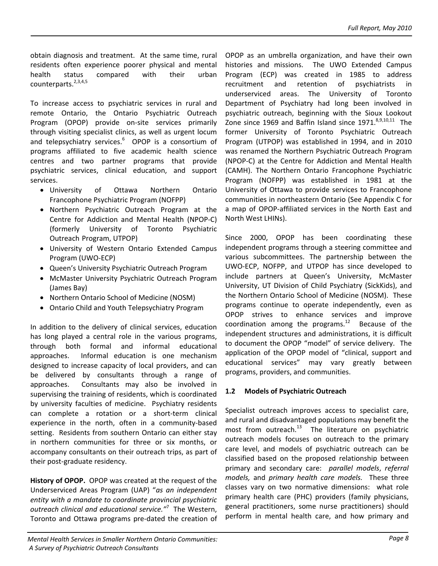obtain diagnosis and treatment. At the same time, rural residents often experience poorer physical and mental health status compared with their urban counterparts. $2,3,4,5$ 

To increase access to psychiatric services in rural and remote Ontario, the Ontario Psychiatric Outreach Program (OPOP) provide on‐site services primarily through visiting specialist clinics, as well as urgent locum and telepsychiatry services.<sup>6</sup> OPOP is a consortium of programs affiliated to five academic health science centres and two partner programs that provide psychiatric services, clinical education, and support services.

- University of Ottawa Northern Ontario Francophone Psychiatric Program (NOFPP)
- Northern Psychiatric Outreach Program at the Centre for Addiction and Mental Health (NPOP‐C) (formerly University of Toronto Psychiatric Outreach Program, UTPOP)
- University of Western Ontario Extended Campus Program (UWO‐ECP)
- Queen's University Psychiatric Outreach Program
- McMaster University Psychiatric Outreach Program (James Bay)
- Northern Ontario School of Medicine (NOSM)
- Ontario Child and Youth Telepsychiatry Program

In addition to the delivery of clinical services, education has long played a central role in the various programs, through both formal and informal educational approaches. Informal education is one mechanism designed to increase capacity of local providers, and can be delivered by consultants through a range of approaches. Consultants may also be involved in supervising the training of residents, which is coordinated by university faculties of medicine. Psychiatry residents can complete a rotation or a short‐term clinical experience in the north, often in a community-based setting. Residents from southern Ontario can either stay in northern communities for three or six months, or accompany consultants on their outreach trips, as part of their post‐graduate residency.

**History of OPOP.** OPOP was created at the request of the Underserviced Areas Program (UAP) "*as an independent entity with a mandate to coordinate provincial psychiatric outreach clinical and educational service."*<sup>7</sup> The Western, Toronto and Ottawa programs pre‐dated the creation of

OPOP as an umbrella organization, and have their own histories and missions. The UWO Extended Campus Program (ECP) was created in 1985 to address recruitment and retention of psychiatrists in underserviced areas. The University of Toronto Department of Psychiatry had long been involved in psychiatric outreach, beginning with the Sioux Lookout Zone since 1969 and Baffin Island since  $1971$ .<sup>8,9,10,11</sup> The former University of Toronto Psychiatric Outreach Program (UTPOP) was established in 1994, and in 2010 was renamed the Northern Psychiatric Outreach Program (NPOP‐C) at the Centre for Addiction and Mental Health (CAMH). The Northern Ontario Francophone Psychiatric Program (NOFPP) was established in 1981 at the University of Ottawa to provide services to Francophone communities in northeastern Ontario (See Appendix C for a map of OPOP‐affiliated services in the North East and North West LHINs).

Since 2000, OPOP has been coordinating these independent programs through a steering committee and various subcommittees. The partnership between the UWO‐ECP, NOFPP, and UTPOP has since developed to include partners at Queen's University, McMaster University, UT Division of Child Psychiatry (SickKids), and the Northern Ontario School of Medicine (NOSM). These programs continue to operate independently, even as OPOP strives to enhance services and improve coordination among the programs. $^{12}$  Because of the independent structures and administrations, it is difficult to document the OPOP "model" of service delivery. The application of the OPOP model of "clinical, support and educational services" may vary greatly between programs, providers, and communities.

## **1.2 Models of Psychiatric Outreach**

Specialist outreach improves access to specialist care, and rural and disadvantaged populations may benefit the most from outreach. $13$  The literature on psychiatric outreach models focuses on outreach to the primary care level, and models of psychiatric outreach can be classified based on the proposed relationship between primary and secondary care: *parallel models*, *referral models,* and *primary health care models.* These three classes vary on two normative dimensions: what role primary health care (PHC) providers (family physicians, general practitioners, some nurse practitioners) should perform in mental health care, and how primary and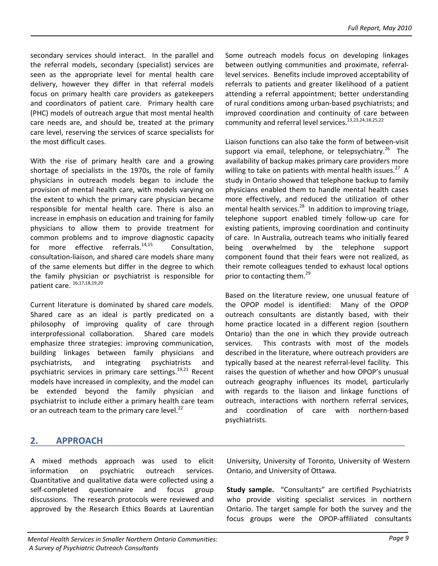secondary services should interact. In the parallel and the referral models, secondary (specialist) services are seen as the appropriate level for mental health care delivery, however they differ in that referral models focus on primary health care providers as gatekeepers and coordinators of patient care. Primary health care (PHC) models of outreach argue that most mental health care needs are, and should be, treated at the primary care level, reserving the services of scarce specialists for the most difficult cases. Liaison functions can also take the form of between‐visit

With the rise of primary health care and a growing shortage of specialists in the 1970s, the role of family physicians in outreach models began to include the provision of mental health care, with models varying on the extent to which the primary care physician became responsible for mental health care. There is also an increase in emphasis on education and training for family physicians to allow them to provide treatment for common problems and to improve diagnostic capacity for more effective referrals. $14,15$  Consultation, consultation‐liaison, and shared care models share many of the same elements but differ in the degree to which the family physician or psychiatrist is responsible for patient care. 16,17,18,19,20

Current literature is dominated by shared care models. Shared care as an ideal is partly predicated on a philosophy of improving quality of care through interprofessional collaboration. Shared care models emphasize three strategies: improving communication, building linkages between family physicians and psychiatrists, and integrating psychiatrists and psychiatric services in primary care settings.<sup>19,21</sup> Recent models have increased in complexity, and the model can be extended beyond the family physician and psychiatrist to include either a primary health care team or an outreach team to the primary care level. $^{22}$ 

Some outreach models focus on developing linkages between outlying communities and proximate, referral‐ level services. Benefits include improved acceptability of referrals to patients and greater likelihood of a patient attending a referral appointment; better understanding of rural conditions among urban‐based psychiatrists; and improved coordination and continuity of care between community and referral level services.<sup>13,23,24,18,25,22</sup>

support via email, telephone, or telepsychiatry.<sup>26</sup> The availability of backup makes primary care providers more willing to take on patients with mental health issues. $27$  A study in Ontario showed that telephone backup to family physicians enabled them to handle mental health cases more effectively, and reduced the utilization of other mental health services. $^{28}$  In addition to improving triage, telephone support enabled timely follow‐up care for existing patients, improving coordination and continuity of care. In Australia, outreach teams who initially feared being overwhelmed by the telephone support component found that their fears were not realized, as their remote colleagues tended to exhaust local options prior to contacting them.<sup>29</sup>

Based on the literature review, one unusual feature of the OPOP model is identified: Many of the OPOP outreach consultants are distantly based, with their home practice located in a different region (southern Ontario) than the one in which they provide outreach services. This contrasts with most of the models described in the literature, where outreach providers are typically based at the nearest referral‐level facility. This raises the question of whether and how OPOP's unusual outreach geography influences its model, particularly with regards to the liaison and linkage functions of outreach, interactions with northern referral services, and coordination of care with northern‐based psychiatrists.

# **2. APPROACH**

A mixed methods approach was used to elicit information on psychiatric outreach services. Quantitative and qualitative data were collected using a self-completed questionnaire and focus group discussions. The research protocols were reviewed and approved by the Research Ethics Boards at Laurentian

University, University of Toronto, University of Western Ontario, and University of Ottawa.

**Study sample.** "Consultants" are certified Psychiatrists who provide visiting specialist services in northern Ontario. The target sample for both the survey and the focus groups were the OPOP‐affiliated consultants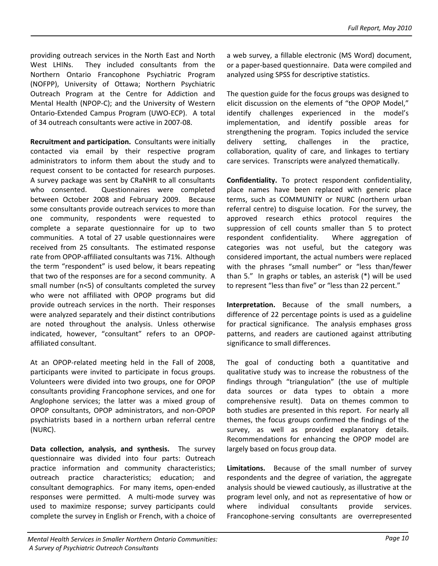providing outreach services in the North East and North West LHINs. They included consultants from the Northern Ontario Francophone Psychiatric Program (NOFPP), University of Ottawa; Northern Psychiatric Outreach Program at the Centre for Addiction and Mental Health (NPOP‐C); and the University of Western Ontario‐Extended Campus Program (UWO‐ECP). A total of 34 outreach consultants were active in 2007‐08.

**Recruitment and participation.** Consultants were initially contacted via email by their respective program administrators to inform them about the study and to request consent to be contacted for research purposes. A survey package was sent by CRaNHR to all consultants who consented. Questionnaires were completed between October 2008 and February 2009. Because some consultants provide outreach services to more than one community, respondents were requested to complete a separate questionnaire for up to two communities. A total of 27 usable questionnaires were received from 25 consultants. The estimated response rate from OPOP‐affiliated consultants was 71%. Although the term "respondent" is used below, it bears repeating that two of the responses are for a second community. A small number (n<5) of consultants completed the survey who were not affiliated with OPOP programs but did provide outreach services in the north. Their responses were analyzed separately and their distinct contributions are noted throughout the analysis. Unless otherwise indicated, however, "consultant" refers to an OPOP‐ affiliated consultant.

At an OPOP‐related meeting held in the Fall of 2008, participants were invited to participate in focus groups. Volunteers were divided into two groups, one for OPOP consultants providing Francophone services, and one for Anglophone services; the latter was a mixed group of OPOP consultants, OPOP administrators, and non‐OPOP psychiatrists based in a northern urban referral centre (NURC).

**Data collection, analysis, and synthesis.** The survey questionnaire was divided into four parts: Outreach practice information and community characteristics; outreach practice characteristics; education; and consultant demographics. For many items, open-ended responses were permitted. A multi-mode survey was used to maximize response; survey participants could complete the survey in English or French, with a choice of a web survey, a fillable electronic (MS Word) document, or a paper‐based questionnaire. Data were compiled and analyzed using SPSS for descriptive statistics.

The question guide for the focus groups was designed to elicit discussion on the elements of "the OPOP Model," identify challenges experienced in the model's implementation, and identify possible areas for strengthening the program. Topics included the service delivery setting, challenges in the practice, collaboration, quality of care, and linkages to tertiary care services. Transcripts were analyzed thematically.

**Confidentiality.** To protect respondent confidentiality, place names have been replaced with generic place terms, such as COMMUNITY or NURC (northern urban referral centre) to disguise location. For the survey, the approved research ethics protocol requires the suppression of cell counts smaller than 5 to protect respondent confidentiality. Where aggregation of categories was not useful, but the category was considered important, the actual numbers were replaced with the phrases "small number" or "less than/fewer than 5." In graphs or tables, an asterisk (\*) will be used to represent "less than five" or "less than 22 percent."

**Interpretation.** Because of the small numbers, a difference of 22 percentage points is used as a guideline for practical significance. The analysis emphases gross patterns, and readers are cautioned against attributing significance to small differences.

The goal of conducting both a quantitative and qualitative study was to increase the robustness of the findings through "triangulation" (the use of multiple data sources or data types to obtain a more comprehensive result). Data on themes common to both studies are presented in this report. For nearly all themes, the focus groups confirmed the findings of the survey, as well as provided explanatory details. Recommendations for enhancing the OPOP model are largely based on focus group data.

Limitations. Because of the small number of survey respondents and the degree of variation, the aggregate analysis should be viewed cautiously, as illustrative at the program level only, and not as representative of how or where individual consultants provide services. Francophone‐serving consultants are overrepresented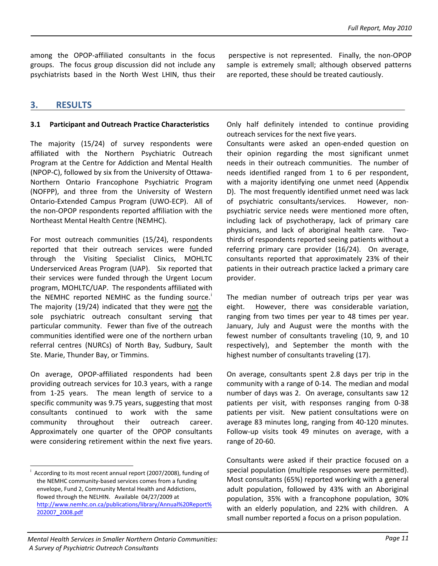among the OPOP‐affiliated consultants in the focus groups. The focus group discussion did not include any psychiatrists based in the North West LHIN, thus their

perspective is not represented. Finally, the non‐OPOP sample is extremely small; although observed patterns are reported, these should be treated cautiously.

# **3. RESULTS**

The majority (15/24) of survey respondents were affiliated with the Northern Psychiatric Outreach Program at the Centre for Addiction and Mental Health (NPOP‐C), followed by six from the University of Ottawa‐ Northern Ontario Francophone Psychiatric Program (NOFPP), and three from the University of Western Ontario‐Extended Campus Program (UWO‐ECP). All of the non‐OPOP respondents reported affiliation with the Northeast Mental Health Centre (NEMHC).

For most outreach communities (15/24), respondents reported that their outreach services were funded through the Visiting Specialist Clinics, MOHLTC Underserviced Areas Program (UAP). Six reported that their services were funded through the Urgent Locum program, MOHLTC/UAP. The respondents affiliated with the NEMHC reported NEMHC as the fund[i](#page-14-0)ng source.<sup>i</sup> The majority (19/24) indicated that they were not the sole psychiatric outreach consultant serving that particular community. Fewer than five of the outreach communities identified were one of the northern urban referral centres (NURCs) of North Bay, Sudbury, Sault Ste. Marie, Thunder Bay, or Timmins.

On average, OPOP‐affiliated respondents had been providing outreach services for 10.3 years, with a range from 1-25 years. The mean length of service to a specific community was 9.75 years, suggesting that most consultants continued to work with the same community throughout their outreach career. Approximately one quarter of the OPOP consultants were considering retirement within the next five years.

 $\overline{a}$ 

**3.1 Participant and Outreach Practice Characteristics** Only half definitely intended to continue providing outreach services for the next five years.

> Consultants were asked an open‐ended question on their opinion regarding the most significant unmet needs in their outreach communities. The number of needs identified ranged from 1 to 6 per respondent, with a majority identifying one unmet need (Appendix D). The most frequently identified unmet need was lack of psychiatric consultants/services. However, non‐ psychiatric service needs were mentioned more often, including lack of psychotherapy, lack of primary care physicians, and lack of aboriginal health care. Two‐ thirds of respondents reported seeing patients without a referring primary care provider (16/24). On average, consultants reported that approximately 23% of their patients in their outreach practice lacked a primary care provider.

> The median number of outreach trips per year was eight. However, there was considerable variation, ranging from two times per year to 48 times per year. January, July and August were the months with the fewest number of consultants traveling (10, 9, and 10 respectively), and September the month with the highest number of consultants traveling (17).

> On average, consultants spent 2.8 days per trip in the community with a range of 0‐14. The median and modal number of days was 2. On average, consultants saw 12 patients per visit, with responses ranging from 0‐38 patients per visit. New patient consultations were on average 83 minutes long, ranging from 40‐120 minutes. Follow‐up visits took 49 minutes on average, with a range of 20‐60.

> Consultants were asked if their practice focused on a special population (multiple responses were permitted). Most consultants (65%) reported working with a general adult population, followed by 43% with an Aboriginal population, 35% with a francophone population, 30% with an elderly population, and 22% with children. A small number reported a focus on a prison population.

#### *Mental Health Services in Smaller Northern Ontario Communities: A Survey of Psychiatric Outreach Consultants*

<span id="page-14-0"></span>i According to its most recent annual report (2007/2008), funding of the NEMHC community‐based services comes from a funding envelope, Fund 2, Community Mental Health and Addictions, flowed through the NELHIN. Available 04/27/2009 at [http://www.nemhc.on.ca/publications/library/Annual%20Report%](http://www.nemhc.on.ca/publications/library/Annual%20Report%202007_2008.pdf) [202007\\_2008.pdf](http://www.nemhc.on.ca/publications/library/Annual%20Report%202007_2008.pdf)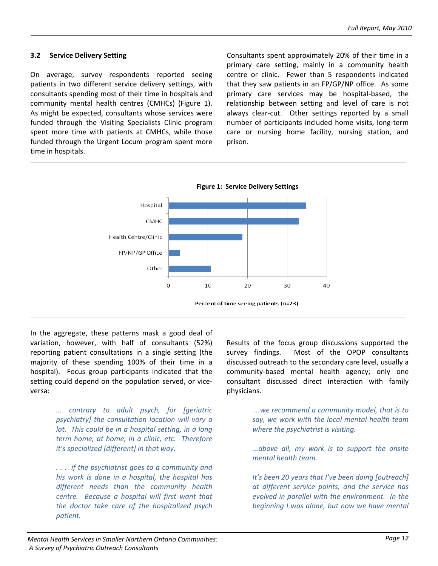#### **3.2 Service Delivery Setting**

On average, survey respondents reported seeing patients in two different service delivery settings, with consultants spending most of their time in hospitals and community mental health centres (CMHCs) (Figure 1). As might be expected, consultants whose services were funded through the Visiting Specialists Clinic program spent more time with patients at CMHCs, while those funded through the Urgent Locum program spent more time in hospitals.

Consultants spent approximately 20% of their time in a primary care setting, mainly in a community health centre or clinic. Fewer than 5 respondents indicated that they saw patients in an FP/GP/NP office. As some primary care services may be hospital‐based, the relationship between setting and level of care is not always clear-cut. Other settings reported by a small number of participants included home visits, long‐term care or nursing home facility, nursing station, and prison.



In the aggregate, these patterns mask a good deal of variation, however, with half of consultants (52%) reporting patient consultations in a single setting (the majority of these spending 100% of their time in a hospital). Focus group participants indicated that the setting could depend on the population served, or vice‐ versa:

> *... contrary to adult psych, for [geriatric psychiatry] the consultation location will vary a lot. This could be in a hospital setting, in a long term home, at home, in a clinic, etc. Therefore it's specialized [different] in that way.*

> *. . . if the psychiatrist goes to a community and his work is done in a hospital, the hospital has different needs than the community health centre. Because a hospital will first want that the doctor take care of the hospitalized psych*  $p$ *atient.*

Results of the focus group discussions supported the survey findings. Most of the OPOP consultants discussed outreach to the secondary care level, usually a community‐based mental health agency; only one consultant discussed direct interaction with family physicians.

> *...we recommend a community model, that is to say, we work with the local mental health team where the psychiatrist is visiting.*

> *...above all, my work is to support the onsite mental health team.*

> *It's been 20 years that I've been doing [outreach] at different service points, and the service has evolved in parallel with the environment. In the beginning I was alone, but now we have mental*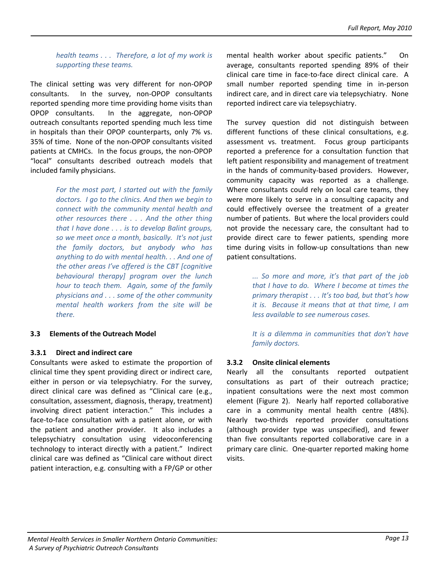*health teams . . . Therefore, a lot of my work is supporting these teams.* 

The clinical setting was very different for non‐OPOP consultants. In the survey, non-OPOP consultants reported spending more time providing home visits than OPOP consultants. In the aggregate, non‐OPOP outreach consultants reported spending much less time in hospitals than their OPOP counterparts, only 7% vs. 35% of time. None of the non‐OPOP consultants visited patients at CMHCs. In the focus groups, the non‐OPOP "local" consultants described outreach models that included family physicians.

> *For the most part, I started out with the family doctors. I go to the clinics. And then we begin to connect with the community mental health and other resources there . . . And the other thing that I have done . . . is to develop Balint groups, so we meet once a month, basically. It's not just the family doctors, but anybody who has anything to do with mental health. . . And one of the other areas I've offered is the CBT [cognitive behavioural therapy] program over the lunch hour to teach them. Again, some of the family physicians and . . . some of the other community mental health workers from the site will be*  $therefore$

#### **3.3 Elements of the Outreach Model**

#### **3.3.1 Direct and indirect care**

Consultants were asked to estimate the proportion of clinical time they spent providing direct or indirect care, either in person or via telepsychiatry. For the survey, direct clinical care was defined as "Clinical care (e.g., consultation, assessment, diagnosis, therapy, treatment) involving direct patient interaction." This includes a face-to-face consultation with a patient alone, or with the patient and another provider. It also includes a telepsychiatry consultation using videoconferencing technology to interact directly with a patient." Indirect clinical care was defined as "Clinical care without direct patient interaction, e.g. consulting with a FP/GP or other

mental health worker about specific patients." On average, consultants reported spending 89% of their clinical care time in face-to-face direct clinical care. A small number reported spending time in in‐person indirect care, and in direct care via telepsychiatry. None reported indirect care via telepsychiatry.

The survey question did not distinguish between different functions of these clinical consultations, e.g. assessment vs. treatment. Focus group participants reported a preference for a consultation function that left patient responsibility and management of treatment in the hands of community-based providers. However, community capacity was reported as a challenge. Where consultants could rely on local care teams, they were more likely to serve in a consulting capacity and could effectively oversee the treatment of a greater number of patients. But where the local providers could not provide the necessary care, the consultant had to provide direct care to fewer patients, spending more time during visits in follow-up consultations than new patient consultations.

> *... So more and more, it's that part of the job that I have to do. Where I become at times the primary therapist . . . It's too bad, but that's how it is. Because it means that at that time, I am less available to see numerous cases.*

> *It is a dilemma in communities that don't have family doctors.*

#### **3.3.2 Onsite clinical elements**

Nearly all the consultants reported outpatient consultations as part of their outreach practice; inpatient consultations were the next most common element (Figure 2). Nearly half reported collaborative care in a community mental health centre (48%). Nearly two‐thirds reported provider consultations (although provider type was unspecified), and fewer than five consultants reported collaborative care in a primary care clinic. One‐quarter reported making home visits.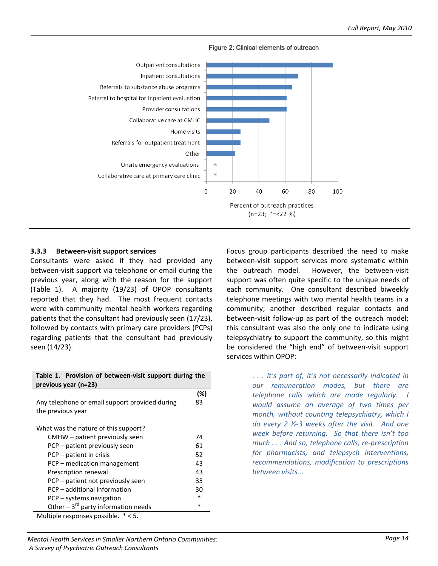

Figure 2: Clinical elements of outreach

#### **3.3.3 Between‐visit support services**

Consultants were asked if they had provided any between‐visit support via telephone or email during the previous year, along with the reason for the support (Table 1). A majority (19/23) of OPOP consultants reported that they had. The most frequent contacts were with community mental health workers regarding patients that the consultant had previously seen (17/23), followed by contacts with primary care providers (PCPs) regarding patients that the consultant had previously seen (14/23).

| Table 1. Provision of between-visit support during the<br>previous year (n=23) |     |  |
|--------------------------------------------------------------------------------|-----|--|
|                                                                                | (%) |  |
| Any telephone or email support provided during                                 |     |  |
| the previous year                                                              |     |  |
|                                                                                |     |  |
| What was the nature of this support?                                           |     |  |
| CMHW – patient previously seen                                                 | 74  |  |
| PCP – patient previously seen                                                  | 61  |  |
| PCP – patient in crisis                                                        | 52  |  |
| PCP – medication management                                                    | 43  |  |
| Prescription renewal                                                           | 43  |  |
| PCP – patient not previously seen                                              | 35  |  |
| PCP – additional information                                                   | 30  |  |
| PCP - systems navigation                                                       | *   |  |
| Other $-3^{rd}$ party information needs                                        | *   |  |
| Multiple responses possible. * < 5.                                            |     |  |

Focus group participants described the need to make between‐visit support services more systematic within the outreach model. However, the between-visit support was often quite specific to the unique needs of each community. One consultant described biweekly telephone meetings with two mental health teams in a community; another described regular contacts and between-visit follow-up as part of the outreach model; this consultant was also the only one to indicate using telepsychiatry to support the community, so this might be considered the "high end" of between‐visit support services within OPOP:

> *. . . it's part of, it's not necessarily indicated in our remuneration modes, but there are telephone calls which are made regularly. I would assume an average of two times per month, without counting telepsychiatry, which I do every 2 ½‐3 weeks after the visit. And one week before returning. So that there isn't too much . . . And so, telephone calls, re‐prescription for pharmacists, and telepsych interventions, recommendations, modification to prescriptions between visits...*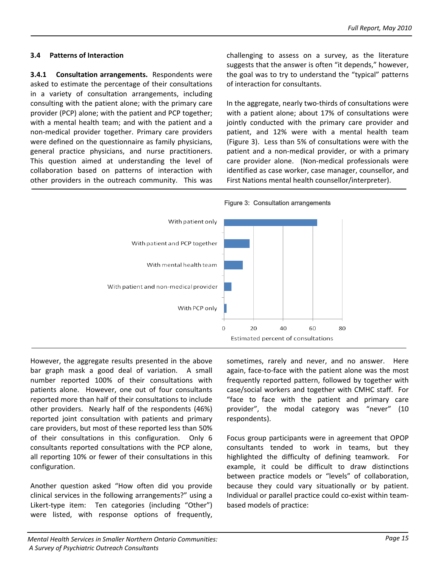#### **3.4 Patterns of Interaction**

**3.4.1 Consultation arrangements.** Respondents were asked to estimate the percentage of their consultations in a variety of consultation arrangements, including consulting with the patient alone; with the primary care provider (PCP) alone; with the patient and PCP together; with a mental health team; and with the patient and a non‐medical provider together. Primary care providers were defined on the questionnaire as family physicians, general practice physicians, and nurse practitioners. This question aimed at understanding the level of collaboration based on patterns of interaction with other providers in the outreach community. This was challenging to assess on a survey, as the literature suggests that the answer is often "it depends," however, the goal was to try to understand the "typical" patterns of interaction for consultants.

In the aggregate, nearly two‐thirds of consultations were with a patient alone; about 17% of consultations were jointly conducted with the primary care provider and patient, and 12% were with a mental health team (Figure 3). Less than 5% of consultations were with the patient and a non-medical provider, or with a primary care provider alone. (Non-medical professionals were identified as case worker, case manager, counsellor, and First Nations mental health counsellor/interpreter).





However, the aggregate results presented in the above bar graph mask a good deal of variation. A small number reported 100% of their consultations with patients alone. However, one out of four consultants reported more than half of their consultations to include other providers. Nearly half of the respondents (46%) reported joint consultation with patients and primary care providers, but most of these reported less than 50% of their consultations in this configuration. Only 6 consultants reported consultations with the PCP alone, all reporting 10% or fewer of their consultations in this configuration.

Another question asked "How often did you provide clinical services in the following arrangements?" using a Likert-type item: Ten categories (including "Other") were listed, with response options of frequently,

sometimes, rarely and never, and no answer. Here again, face‐to‐face with the patient alone was the most frequently reported pattern, followed by together with case/social workers and together with CMHC staff. For "face to face with the patient and primary care provider", the modal category was "never" (10 respondents).

Focus group participants were in agreement that OPOP consultants tended to work in teams, but they highlighted the difficulty of defining teamwork. For example, it could be difficult to draw distinctions between practice models or "levels" of collaboration, because they could vary situationally or by patient. Individual or parallel practice could co‐exist within team‐ based models of practice: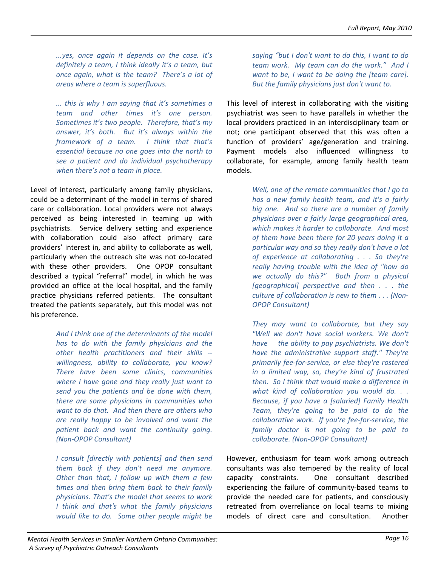*...yes, once again it depends on the case. It's definitely a team, I think ideally it's a team, but once again, what is the team? There's a lot of areas where a team is superfluous.* 

*... this is why I am saying that it's sometimes a team and other times it's one person. Sometimes it's two people. Therefore, that's my answer, it's both. But it's always within the framework of a team. I think that that's essential because no one goes into the north to see a patient and do individual psychotherapy when there's not a team in place.*

Level of interest, particularly among family physicians, could be a determinant of the model in terms of shared care or collaboration. Local providers were not always perceived as being interested in teaming up with psychiatrists. Service delivery setting and experience with collaboration could also affect primary care providers' interest in, and ability to collaborate as well, particularly when the outreach site was not co‐located with these other providers. One OPOP consultant described a typical "referral" model, in which he was provided an office at the local hospital, and the family practice physicians referred patients. The consultant treated the patients separately, but this model was not his preference.

> *And I think one of the determinants of the model has to do with the family physicians and the other health practitioners and their skills ‐‐ willingness, ability to collaborate, you know? There have been some clinics, communities where I have gone and they really just want to send you the patients and be done with them, there are some physicians in communities who want to do that. And then there are others who are really happy to be involved and want the patient back and want the continuity going. (Non‐OPOP Consultant)*

> *I consult [directly with patients] and then send them back if they don't need me anymore. Other than that, I follow up with them a few times and then bring them back to their family physicians. That's the model that seems to work I think and that's what the family physicians would like to do. Some other people might be*

*saying "but I don't want to do this, I want to do team work. My team can do the work." And I want to be, I want to be doing the [team care]. But the family physicians just don't want to.*

This level of interest in collaborating with the visiting psychiatrist was seen to have parallels in whether the local providers practiced in an interdisciplinary team or not; one participant observed that this was often a function of providers' age/generation and training. Payment models also influenced willingness to collaborate, for example, among family health team models.

> *Well, one of the remote communities that I go to has a new family health team, and it's a fairly big one. And so there are a number of family physicians over a fairly large geographical area, which makes it harder to collaborate. And most of them have been there for 20 years doing it a particular way and so they really don't have a lot of experience at collaborating . . . So they're really having trouble with the idea of "how do we actually do this?" Both from a physical [geographical] perspective and then . . . the culture of collaboration is new to them . . . (Non‐ OPOP Consultant)*

> *They may want to collaborate, but they say "Well we don't have social workers. We don't have the ability to pay psychiatrists. We don't have the administrative support staff." They're primarily fee‐for‐service, or else they're rostered in a limited way, so, they're kind of frustrated then. So I think that would make a difference in what kind of collaboration you would do. . . Because, if you have a [salaried] Family Health Team, they're going to be paid to do the collaborative work. If you're fee‐for‐service, the family doctor is not going to be paid to collaborate. (Non‐OPOP Consultant)*

However, enthusiasm for team work among outreach consultants was also tempered by the reality of local capacity constraints. One consultant described experiencing the failure of community‐based teams to provide the needed care for patients, and consciously retreated from overreliance on local teams to mixing models of direct care and consultation. Another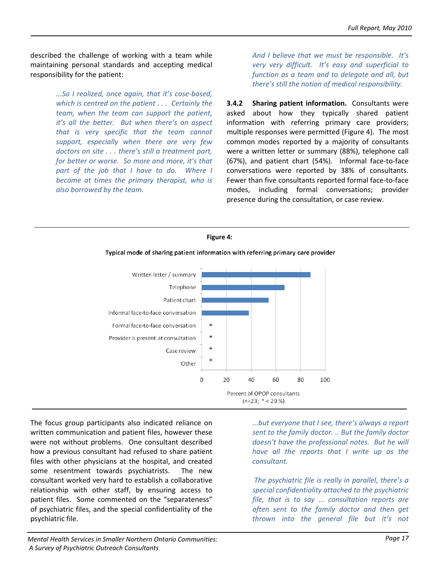described the challenge of working with a team while maintaining personal standards and accepting medical responsibility for the patient:

> *...So I realized, once again, that it's case‐based, which is centred on the patient . . . Certainly the team, when the team can support the patient, it's all the better. But when there's an aspect that is very specific that the team cannot support, especially when there are very few doctors on site . . . there's still a treatment part, for better or worse. So more and more, it's that part of the job that I have to do. Where I become at times the primary therapist, who is also borrowed by the team.*

*And I believe that we must be responsible. It's very very difficult. It's easy and superficial to function as a team and to delegate and all, but there's still the notion of medical responsibility.*

**3.4.2 Sharing patient information.** Consultants were asked about how they typically shared patient information with referring primary care providers; multiple responses were permitted (Figure 4). The most common modes reported by a majority of consultants were a written letter or summary (88%), telephone call (67%), and patient chart (54%). Informal face-to-face conversations were reported by 38% of consultants. Fewer than five consultants reported formal face-to-face modes, including formal conversations; provider presence during the consultation, or case review.





Typical mode of sharing patient information with referring primary care provider

The focus group participants also indicated reliance on written communication and patient files, however these were not without problems. One consultant described how a previous consultant had refused to share patient files with other physicians at the hospital, and created some resentment towards psychiatrists. The new consultant worked very hard to establish a collaborative relationship with other staff, by ensuring access to patient files. Some commented on the "separateness" of psychiatric files, and the special confidentiality of the psychiatric file.

*...but everyone that I see, there's always a report sent to the family doctor. .. But the family doctor doesn't have the professional notes. But he will have all the reports that I write up as the consultant.*

*The psychiatric file is really in parallel, there's a special confidentiality attached to the psychiatric file, that is to say ... consultation reports are often sent to the family doctor and then get thrown into the general file but it's not*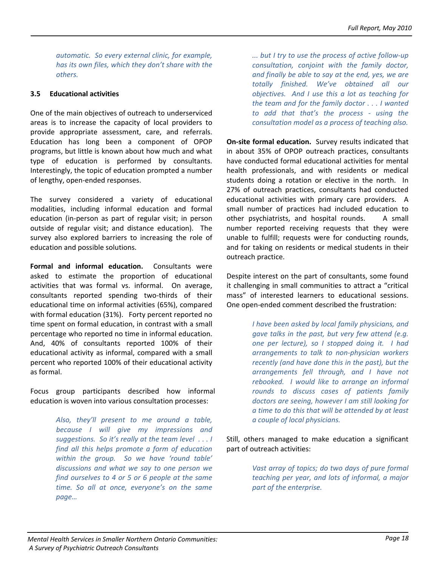*automatic. So every external clinic, for example, has its own files, which they don't share with the others.*

## **3.5 Educational activities**

One of the main objectives of outreach to underserviced areas is to increase the capacity of local providers to provide appropriate assessment, care, and referrals. Education has long been a component of OPOP programs, but little is known about how much and what type of education is performed by consultants. Interestingly, the topic of education prompted a number of lengthy, open‐ended responses.

The survey considered a variety of educational modalities, including informal education and formal education (in‐person as part of regular visit; in person outside of regular visit; and distance education). The survey also explored barriers to increasing the role of education and possible solutions.

**Formal and informal education.**  Consultants were asked to estimate the proportion of educational activities that was formal vs. informal. On average, consultants reported spending two‐thirds of their educational time on informal activities (65%), compared with formal education (31%). Forty percent reported no time spent on formal education, in contrast with a small percentage who reported no time in informal education. And, 40% of consultants reported 100% of their educational activity as informal, compared with a small percent who reported 100% of their educational activity as formal.

Focus group participants described how informal education is woven into various consultation processes:

> *Also, they'll present to me around a table, because I will give my impressions and suggestions. So it's really at the team level . . . I find all this helps promote a form of education within the group. So we have 'round table' discussions and what we say to one person we find ourselves to 4 or 5 or 6 people at the same time. So all at once, everyone's on the same page…*

*... but I try to use the process of active follow‐up consultation, conjoint with the family doctor, and finally be able to say at the end, yes, we are totally finished. We've obtained all our objectives. And I use this a lot as teaching for the team and for the family doctor . . . I wanted to add that that's the process ‐ using the consultation model as a process of teaching also.*

**On‐site formal education.** Survey results indicated that in about 35% of OPOP outreach practices, consultants have conducted formal educational activities for mental health professionals, and with residents or medical students doing a rotation or elective in the north. In 27% of outreach practices, consultants had conducted educational activities with primary care providers. A small number of practices had included education to other psychiatrists, and hospital rounds. A small number reported receiving requests that they were unable to fulfill; requests were for conducting rounds, and for taking on residents or medical students in their outreach practice.

Despite interest on the part of consultants, some found it challenging in small communities to attract a "critical mass" of interested learners to educational sessions. One open‐ended comment described the frustration:

> *I have been asked by local family physicians, and gave talks in the past, but very few attend (e.g. one per lecture), so I stopped doing it. I had arrangements to talk to non‐physician workers recently (and have done this in the past), but the arrangements fell through, and I have not rebooked. I would like to arrange an informal rounds to discuss cases of patients family doctors are seeing, however I am still looking for a time to do this that will be attended by at least a couple of local physicians.*

Still, others managed to make education a significant part of outreach activities:

> *Vast array of topics; do two days of pure formal teaching per year, and lots of informal, a major part of the enterprise.*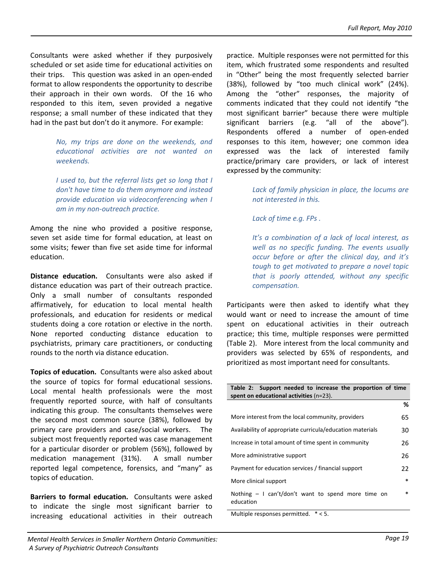Consultants were asked whether if they purposively scheduled or set aside time for educational activities on their trips. This question was asked in an open‐ended format to allow respondents the opportunity to describe their approach in their own words. Of the 16 who responded to this item, seven provided a negative response; a small number of these indicated that they had in the past but don't do it anymore. For example:

> *No, my trips are done on the weekends, and educational activities are not wanted on weekends.*

> *I used to, but the referral lists get so long that I don't have time to do them anymore and instead provide education via videoconferencing when I am in my non‐outreach practice.*

Among the nine who provided a positive response, seven set aside time for formal education, at least on some visits; fewer than five set aside time for informal education.

**Distance education.** Consultants were also asked if distance education was part of their outreach practice. Only a small number of consultants responded affirmatively, for education to local mental health professionals, and education for residents or medical students doing a core rotation or elective in the north. None reported conducting distance education to psychiatrists, primary care practitioners, or conducting rounds to the north via distance education.

**Topics of education.** Consultants were also asked about the source of topics for formal educational sessions. Local mental health professionals were the most frequently reported source, with half of consultants indicating this group. The consultants themselves were the second most common source (38%), followed by primary care providers and case/social workers. The subject most frequently reported was case management for a particular disorder or problem (56%), followed by medication management (31%). A small number reported legal competence, forensics, and "many" as topics of education.

**Barriers to formal education.**  Consultants were asked to indicate the single most significant barrier to increasing educational activities in their outreach practice. Multiple responses were not permitted for this item, which frustrated some respondents and resulted in "Other" being the most frequently selected barrier (38%), followed by "too much clinical work" (24%). Among the "other" responses, the majority of comments indicated that they could not identify "the most significant barrier" because there were multiple significant barriers (e.g. "all of the above"). Respondents offered a number of open‐ended responses to this item, however; one common idea expressed was the lack of interested family practice/primary care providers, or lack of interest expressed by the community:

> *Lack of family physician in place, the locums are not interested in this.*

*Lack of time e.g. FPs .*

*It's a combination of a lack of local interest, as well as no specific funding. The events usually occur before or after the clinical day, and it's tough to get motivated to prepare a novel topic that is poorly attended, without any specific compensation.*

Participants were then asked to identify what they would want or need to increase the amount of time spent on educational activities in their outreach practice; this time, multiple responses were permitted (Table 2). More interest from the local community and providers was selected by 65% of respondents, and prioritized as most important need for consultants.

| Table 2: Support needed to increase the proportion of time<br>spent on educational activities $(n=23)$ . |        |  |
|----------------------------------------------------------------------------------------------------------|--------|--|
|                                                                                                          | %      |  |
| More interest from the local community, providers<br>65                                                  |        |  |
| Availability of appropriate curricula/education materials<br>30                                          |        |  |
| Increase in total amount of time spent in community                                                      |        |  |
| More administrative support                                                                              |        |  |
| Payment for education services / financial support<br>22                                                 |        |  |
| $\ast$<br>More clinical support                                                                          |        |  |
| Nothing $-1$ can't/don't want to spend more time on<br>education                                         | $\ast$ |  |

Multiple responses permitted. \* < 5.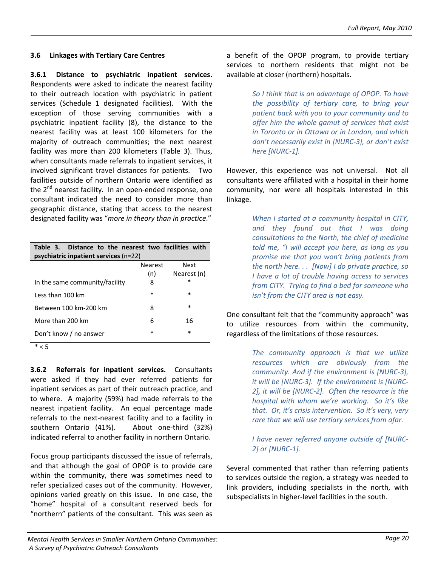#### **3.6 Linkages with Tertiary Care Centres**

**3.6.1 Distance to psychiatric inpatient services.** Respondents were asked to indicate the nearest facility to their outreach location with psychiatric in patient services (Schedule 1 designated facilities). With the exception of those serving communities with a psychiatric inpatient facility (8), the distance to the nearest facility was at least 100 kilometers for the majority of outreach communities; the next nearest facility was more than 200 kilometers (Table 3). Thus, when consultants made referrals to inpatient services, it involved significant travel distances for patients. Two facilities outside of northern Ontario were identified as the  $2^{nd}$  nearest facility. In an open-ended response, one consultant indicated the need to consider more than geographic distance, stating that access to the nearest designated facility was "*more in theory than in practice*."

| Table 3. Distance to the nearest two facilities with |                |             |  |  |  |  |  |
|------------------------------------------------------|----------------|-------------|--|--|--|--|--|
| psychiatric inpatient services $(n=22)$              |                |             |  |  |  |  |  |
|                                                      | <b>Nearest</b> | <b>Next</b> |  |  |  |  |  |
|                                                      | (n)            | Nearest (n) |  |  |  |  |  |
| In the same community/facility                       | 8              | $\ast$      |  |  |  |  |  |
| Less than 100 km                                     | $\ast$         | $\ast$      |  |  |  |  |  |
| Between 100 km-200 km                                | 8              | $\ast$      |  |  |  |  |  |
| More than 200 km                                     | 6              | 16          |  |  |  |  |  |
| Don't know / no answer                               | $\ast$         | $\ast$      |  |  |  |  |  |

 $* < 5$ 

**3.6.2 Referrals for inpatient services.**  Consultants were asked if they had ever referred patients for inpatient services as part of their outreach practice, and to where. A majority (59%) had made referrals to the nearest inpatient facility. An equal percentage made referrals to the next‐nearest facility and to a facility in southern Ontario (41%). About one-third (32%) indicated referral to another facility in northern Ontario.

Focus group participants discussed the issue of referrals, and that although the goal of OPOP is to provide care within the community, there was sometimes need to refer specialized cases out of the community. However, opinions varied greatly on this issue. In one case, the "home" hospital of a consultant reserved beds for "northern" patients of the consultant. This was seen as a benefit of the OPOP program, to provide tertiary services to northern residents that might not be available at closer (northern) hospitals.

> *So I think that is an advantage of OPOP. To have the possibility of tertiary care, to bring your patient back with you to your community and to offer him the whole gamut of services that exist in Toronto or in Ottawa or in London, and which don't necessarily exist in [NURC‐3], or don't exist here [NURC‐1].*

However, this experience was not universal. Not all consultants were affiliated with a hospital in their home community, nor were all hospitals interested in this linkage.

> *When I started at a community hospital in CITY, and they found out that I was doing consultations to the North, the chief of medicine told me, "I will accept you here, as long as you promise me that you won't bring patients from the north here. . . [Now] I do private practice, so I have a lot of trouble having access to services from CITY. Trying to find a bed for someone who isn't from the CITY area is not easy.*

One consultant felt that the "community approach" was to utilize resources from within the community, regardless of the limitations of those resources.

> *The community approach is that we utilize resources which are obviously from the community. And if the environment is [NURC‐3], it will be [NURC‐3]. If the environment is [NURC‐ 2], it will be [NURC‐2]. Often the resource is the hospital with whom we're working. So it's like that. Or, it's crisis intervention. So it's very, very rare that we will use tertiary services from afar.*

> *I have never referred anyone outside of [NURC‐ 2] or [NURC‐1].*

Several commented that rather than referring patients to services outside the region, a strategy was needed to link providers, including specialists in the north, with subspecialists in higher‐level facilities in the south.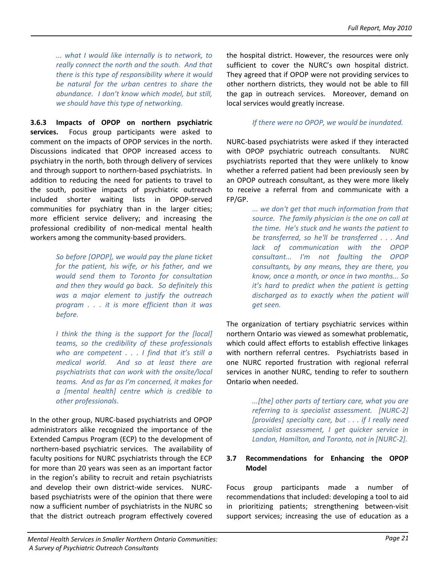*... what I would like internally is to network, to really connect the north and the south. And that there is this type of responsibility where it would be natural for the urban centres to share the abundance. I don't know which model, but still, we should have this type of networking.* 

**3.6.3 Impacts of OPOP on northern psychiatric** services. Focus group participants were asked to comment on the impacts of OPOP services in the north. Discussions indicated that OPOP increased access to psychiatry in the north, both through delivery of services and through support to northern‐based psychiatrists. In addition to reducing the need for patients to travel to the south, positive impacts of psychiatric outreach included shorter waiting lists in OPOP‐served communities for psychiatry than in the larger cities; more efficient service delivery; and increasing the professional credibility of non‐medical mental health workers among the community‐based providers.

> *So before [OPOP], we would pay the plane ticket for the patient, his wife, or his father, and we would send them to Toronto for consultation and then they would go back. So definitely this was a major element to justify the outreach program . . . it is more efficient than it was before.*

> *I think the thing is the support for the [local] teams, so the credibility of these professionals who are competent . . . I find that it's still a medical world. And so at least there are psychiatrists that can work with the onsite/local teams. And as far as I'm concerned, it makes for a [mental health] centre which is credible to other professionals.*

In the other group, NURC‐based psychiatrists and OPOP administrators alike recognized the importance of the Extended Campus Program (ECP) to the development of northern-based psychiatric services. The availability of faculty positions for NURC psychiatrists through the ECP for more than 20 years was seen as an important factor in the region's ability to recruit and retain psychiatrists and develop their own district-wide services. NURCbased psychiatrists were of the opinion that there were now a sufficient number of psychiatrists in the NURC so that the district outreach program effectively covered

the hospital district. However, the resources were only sufficient to cover the NURC's own hospital district. They agreed that if OPOP were not providing services to other northern districts, they would not be able to fill the gap in outreach services. Moreover, demand on local services would greatly increase.

### *If there were no OPOP, we would be inundated.*

NURC‐based psychiatrists were asked if they interacted with OPOP psychiatric outreach consultants. NURC psychiatrists reported that they were unlikely to know whether a referred patient had been previously seen by an OPOP outreach consultant, as they were more likely to receive a referral from and communicate with a FP/GP.

> *... we don't get that much information from that source. The family physician is the one on call at the time. He's stuck and he wants the patient to be transferred, so he'll be transferred . . . And lack of communication with the OPOP consultant... I'm not faulting the OPOP consultants, by any means, they are there, you know, once a month, or once in two months... So it's hard to predict when the patient is getting discharged as to exactly when the patient will get seen.*

The organization of tertiary psychiatric services within northern Ontario was viewed as somewhat problematic, which could affect efforts to establish effective linkages with northern referral centres. Psychiatrists based in one NURC reported frustration with regional referral services in another NURC, tending to refer to southern Ontario when needed.

> *...[the] other parts of tertiary care, what you are referring to is specialist assessment. [NURC‐2] [provides] specialty care, but . . . if I really need specialist assessment, I get quicker service in London, Hamilton, and Toronto, not in [NURC‐2].*

#### **3.7 Recommendations for Enhancing the OPOP Model**

Focus group participants made a number of recommendations that included: developing a tool to aid in prioritizing patients; strengthening between‐visit support services; increasing the use of education as a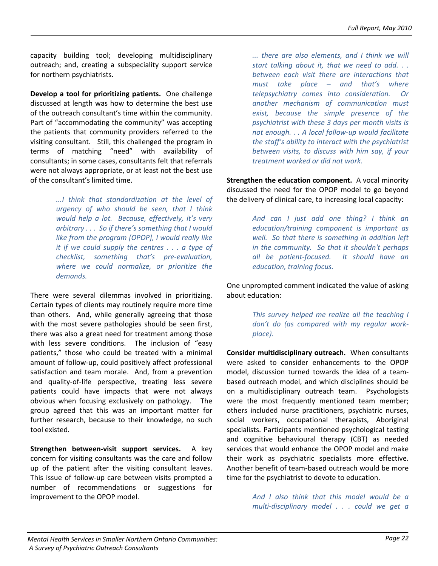capacity building tool; developing multidisciplinary outreach; and, creating a subspeciality support service for northern psychiatrists.

**Develop a tool for prioritizing patients.** One challenge discussed at length was how to determine the best use of the outreach consultant's time within the community. Part of "accommodating the community" was accepting the patients that community providers referred to the visiting consultant. Still, this challenged the program in terms of matching "need" with availability of consultants; in some cases, consultants felt that referrals were not always appropriate, or at least not the best use of the consultant's limited time.

> *...I think that standardization at the level of urgency of who should be seen, that I think would help a lot. Because, effectively, it's very arbitrary . . . So if there's something that I would like from the program [OPOP], I would really like it if we could supply the centres . . . a type of checklist, something that's pre‐evaluation, where we could normalize, or prioritize the demands.*

There were several dilemmas involved in prioritizing. Certain types of clients may routinely require more time than others. And, while generally agreeing that those with the most severe pathologies should be seen first, there was also a great need for treatment among those with less severe conditions. The inclusion of "easy patients," those who could be treated with a minimal amount of follow‐up, could positively affect professional satisfaction and team morale. And, from a prevention and quality‐of‐life perspective, treating less severe patients could have impacts that were not always obvious when focusing exclusively on pathology. The group agreed that this was an important matter for further research, because to their knowledge, no such tool existed.

**Strengthen between‐visit support services.** A key concern for visiting consultants was the care and follow up of the patient after the visiting consultant leaves. This issue of follow‐up care between visits prompted a number of recommendations or suggestions for improvement to the OPOP model.

*... there are also elements, and I think we will start talking about it, that we need to add. . . between each visit there are interactions that must take place – and that's where telepsychiatry comes into consideration. Or another mechanism of communication must exist, because the simple presence of the psychiatrist with these 3 days per month visits is not enough. . . A local follow‐up would facilitate the staff's ability to interact with the psychiatrist between visits, to discuss with him say, if your treatment worked or did not work.*

**Strengthen the education component.** A vocal minority discussed the need for the OPOP model to go beyond the delivery of clinical care, to increasing local capacity:

> *And can I just add one thing? I think an education/training component is important as well. So that there is something in addition left in the community. So that it shouldn't perhaps all be patient‐focused. It should have an education, training focus.*

One unprompted comment indicated the value of asking about education:

> *This survey helped me realize all the teaching I don't do (as compared with my regular work‐ place).*

**Consider multidisciplinary outreach.** When consultants were asked to consider enhancements to the OPOP model, discussion turned towards the idea of a team‐ based outreach model, and which disciplines should be on a multidisciplinary outreach team. Psychologists were the most frequently mentioned team member; others included nurse practitioners, psychiatric nurses, social workers, occupational therapists, Aboriginal specialists. Participants mentioned psychological testing and cognitive behavioural therapy (CBT) as needed services that would enhance the OPOP model and make their work as psychiatric specialists more effective. Another benefit of team‐based outreach would be more time for the psychiatrist to devote to education.

> *And I also think that this model would be a multi‐disciplinary model . . . could we get a*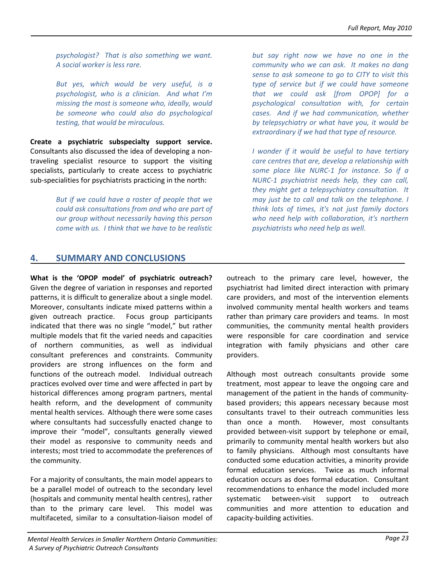*psychologist? That is also something we want. A social worker is less rare.* 

*But yes, which would be very useful, is a psychologist, who is a clinician. And what I'm missing the most is someone who, ideally, would be someone who could also do psychological testing, that would be miraculous.* 

**Create a psychiatric subspecialty support service.** Consultants also discussed the idea of developing a non‐ traveling specialist resource to support the visiting specialists, particularly to create access to psychiatric sub‐specialities for psychiatrists practicing in the north:

> *But if we could have a roster of people that we could ask consultations from and who are part of our group without necessarily having this person come with us. I think that we have to be realistic*

*but say right now we have no one in the community who we can ask. It makes no dang sense to ask someone to go to CITY to visit this type of service but if we could have someone that we could ask [from OPOP] for a psychological consultation with, for certain cases. And if we had communication, whether by telepsychiatry or what have you, it would be extraordinary if we had that type of resource.*

*I wonder if it would be useful to have tertiary care centres that are, develop a relationship with some place like NURC‐1 for instance. So if a NURC‐1 psychiatrist needs help, they can call, they might get a telepsychiatry consultation. It may just be to call and talk on the telephone. I think lots of times, it's not just family doctors who need help with collaboration, it's northern psychiatrists who need help as well.* 

# **4. SUMMARY AND CONCLUSIONS**

**What is the 'OPOP model' of psychiatric outreach?** Given the degree of variation in responses and reported patterns, it is difficult to generalize about a single model. Moreover, consultants indicate mixed patterns within a given outreach practice. Focus group participants indicated that there was no single "model," but rather multiple models that fit the varied needs and capacities of northern communities, as well as individual consultant preferences and constraints. Community providers are strong influences on the form and functions of the outreach model. Individual outreach practices evolved over time and were affected in part by historical differences among program partners, mental health reform, and the development of community mental health services. Although there were some cases where consultants had successfully enacted change to improve their "model", consultants generally viewed their model as responsive to community needs and interests; most tried to accommodate the preferences of the community.

For a majority of consultants, the main model appears to be a parallel model of outreach to the secondary level (hospitals and community mental health centres), rather than to the primary care level. This model was multifaceted, similar to a consultation‐liaison model of Although most outreach consultants provide some treatment, most appear to leave the ongoing care and management of the patient in the hands of community‐ based providers; this appears necessary because most consultants travel to their outreach communities less than once a month. However, most consultants provided between‐visit support by telephone or email, primarily to community mental health workers but also to family physicians. Although most consultants have conducted some education activities, a minority provide formal education services. Twice as much informal education occurs as does formal education. Consultant recommendations to enhance the model included more systematic between-visit support to outreach communities and more attention to education and capacity‐building activities.

outreach to the primary care level, however, the psychiatrist had limited direct interaction with primary care providers, and most of the intervention elements involved community mental health workers and teams rather than primary care providers and teams. In most communities, the community mental health providers were responsible for care coordination and service integration with family physicians and other care providers.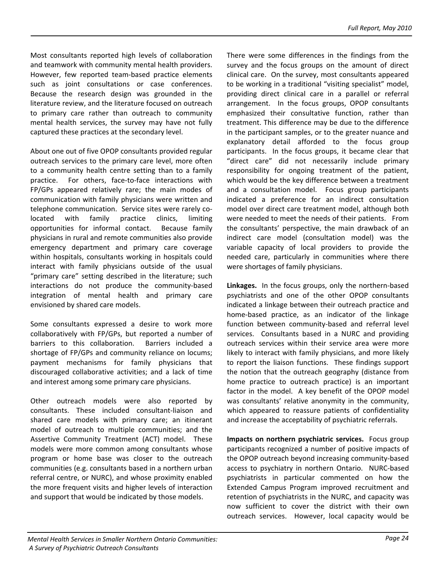Most consultants reported high levels of collaboration and teamwork with community mental health providers. However, few reported team-based practice elements such as joint consultations or case conferences. Because the research design was grounded in the literature review, and the literature focused on outreach to primary care rather than outreach to community mental health services, the survey may have not fully captured these practices at the secondary level.

About one out of five OPOP consultants provided regular outreach services to the primary care level, more often to a community health centre setting than to a family practice. For others, face-to-face interactions with FP/GPs appeared relatively rare; the main modes of communication with family physicians were written and telephone communication. Service sites were rarely co‐ located with family practice clinics, limiting opportunities for informal contact. Because family physicians in rural and remote communities also provide emergency department and primary care coverage within hospitals, consultants working in hospitals could interact with family physicians outside of the usual "primary care" setting described in the literature; such interactions do not produce the community‐based integration of mental health and primary care envisioned by shared care models.

Some consultants expressed a desire to work more collaboratively with FP/GPs, but reported a number of barriers to this collaboration. Barriers included a shortage of FP/GPs and community reliance on locums; payment mechanisms for family physicians that discouraged collaborative activities; and a lack of time and interest among some primary care physicians.

Other outreach models were also reported by consultants. These included consultant‐liaison and shared care models with primary care; an itinerant model of outreach to multiple communities; and the Assertive Community Treatment (ACT) model. These models were more common among consultants whose program or home base was closer to the outreach communities (e.g. consultants based in a northern urban referral centre, or NURC), and whose proximity enabled the more frequent visits and higher levels of interaction and support that would be indicated by those models.

There were some differences in the findings from the survey and the focus groups on the amount of direct clinical care. On the survey, most consultants appeared to be working in a traditional "visiting specialist" model, providing direct clinical care in a parallel or referral arrangement. In the focus groups, OPOP consultants emphasized their consultative function, rather than treatment. This difference may be due to the difference in the participant samples, or to the greater nuance and explanatory detail afforded to the focus group participants. In the focus groups, it became clear that "direct care" did not necessarily include primary responsibility for ongoing treatment of the patient, which would be the key difference between a treatment and a consultation model. Focus group participants indicated a preference for an indirect consultation model over direct care treatment model, although both were needed to meet the needs of their patients. From the consultants' perspective, the main drawback of an indirect care model (consultation model) was the variable capacity of local providers to provide the needed care, particularly in communities where there were shortages of family physicians.

Linkages. In the focus groups, only the northern-based psychiatrists and one of the other OPOP consultants indicated a linkage between their outreach practice and home-based practice, as an indicator of the linkage function between community‐based and referral level services. Consultants based in a NURC and providing outreach services within their service area were more likely to interact with family physicians, and more likely to report the liaison functions. These findings support the notion that the outreach geography (distance from home practice to outreach practice) is an important factor in the model. A key benefit of the OPOP model was consultants' relative anonymity in the community, which appeared to reassure patients of confidentiality and increase the acceptability of psychiatric referrals.

**Impacts on northern psychiatric services.** Focus group participants recognized a number of positive impacts of the OPOP outreach beyond increasing community‐based access to psychiatry in northern Ontario. NURC‐based psychiatrists in particular commented on how the Extended Campus Program improved recruitment and retention of psychiatrists in the NURC, and capacity was now sufficient to cover the district with their own outreach services. However, local capacity would be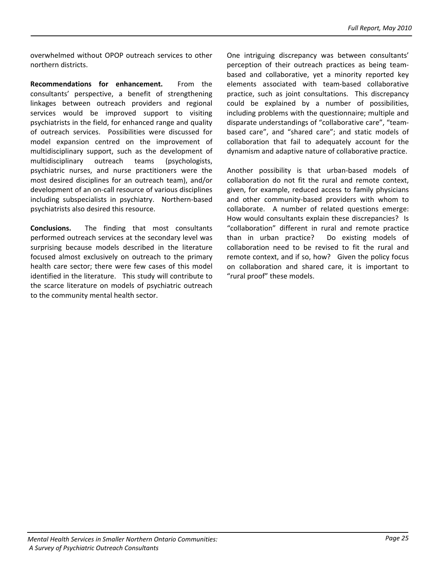overwhelmed without OPOP outreach services to other northern districts.

**Recommendations for enhancement.** From the consultants' perspective, a benefit of strengthening linkages between outreach providers and regional services would be improved support to visiting psychiatrists in the field, for enhanced range and quality of outreach services. Possibilities were discussed for model expansion centred on the improvement of multidisciplinary support, such as the development of multidisciplinary outreach teams (psychologists, psychiatric nurses, and nurse practitioners were the most desired disciplines for an outreach team), and/or development of an on‐call resource of various disciplines including subspecialists in psychiatry. Northern-based psychiatrists also desired this resource.

**Conclusions.**  The finding that most consultants performed outreach services at the secondary level was surprising because models described in the literature focused almost exclusively on outreach to the primary health care sector; there were few cases of this model identified in the literature. This study will contribute to the scarce literature on models of psychiatric outreach to the community mental health sector.

One intriguing discrepancy was between consultants' perception of their outreach practices as being team‐ based and collaborative, yet a minority reported key elements associated with team‐based collaborative practice, such as joint consultations. This discrepancy could be explained by a number of possibilities, including problems with the questionnaire; multiple and disparate understandings of "collaborative care", "team‐ based care", and "shared care"; and static models of collaboration that fail to adequately account for the dynamism and adaptive nature of collaborative practice.

Another possibility is that urban‐based models of collaboration do not fit the rural and remote context, given, for example, reduced access to family physicians and other community‐based providers with whom to collaborate. A number of related questions emerge: How would consultants explain these discrepancies? Is "collaboration" different in rural and remote practice than in urban practice? Do existing models of collaboration need to be revised to fit the rural and remote context, and if so, how? Given the policy focus on collaboration and shared care, it is important to "rural proof" these models.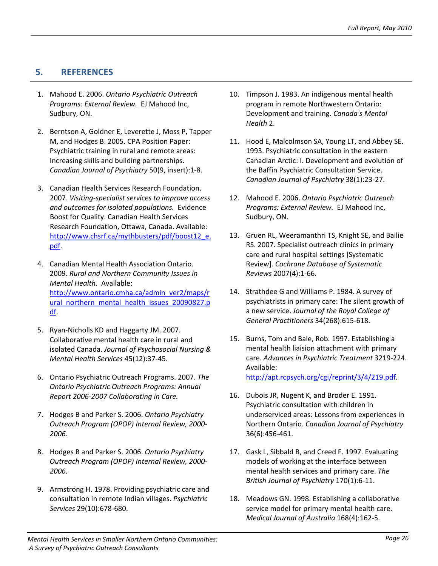# **5. REFERENCES**

- 1. Mahood E. 2006. *Ontario Psychiatric Outreach Programs: External Review.* EJ Mahood Inc, Sudbury, ON.
- 2. Berntson A, Goldner E, Leverette J, Moss P, Tapper M, and Hodges B. 2005. CPA Position Paper: Psychiatric training in rural and remote areas: Increasing skills and building partnerships. *Canadian Journal of Psychiatry* 50(9, insert):1‐8.
- 3. Canadian Health Services Research Foundation. 2007. *Visiting‐specialist services to improve access and outcomes for isolated populations.* Evidence Boost for Quality. Canadian Health Services Research Foundation, Ottawa, Canada. Available: [http://www.chsrf.ca/mythbusters/pdf/boost12\\_e.](http://www.chsrf.ca/mythbusters/pdf/boost12_e.pdf) [pdf](http://www.chsrf.ca/mythbusters/pdf/boost12_e.pdf).
- 4. Canadian Mental Health Association Ontario. 2009. *Rural and Northern Community Issues in Mental Health.* Available: [http://www.ontario.cmha.ca/admin\\_ver2/maps/r](http://www.ontario.cmha.ca/admin_ver2/maps/rural_northern_mental_health_issues_20090827.pdf) [ural\\_northern\\_mental\\_health\\_issues\\_20090827.p](http://www.ontario.cmha.ca/admin_ver2/maps/rural_northern_mental_health_issues_20090827.pdf) [df.](http://www.ontario.cmha.ca/admin_ver2/maps/rural_northern_mental_health_issues_20090827.pdf)
- 5. Ryan-Nicholls KD and Haggarty JM. 2007. Collaborative mental health care in rural and isolated Canada. *Journal of Psychosocial Nursing & Mental Health Services* 45(12):37‐45.
- 6. Ontario Psychiatric Outreach Programs. 2007. *The* <http://apt.rcpsych.org/cgi/reprint/3/4/219.pdf>. *Ontario Psychiatric Outreach Programs: Annual Report 2006‐2007 Collaborating in Care.* 16. Dubois JR, Nugent K, and Broder E. 1991.
- 7. Hodges B and Parker S. 2006. *Ontario Psychiatry Outreach Program (OPOP) Internal Review, 2000‐ 2006.*
- 8. Hodges B and Parker S. 2006. *Ontario Psychiatry Outreach Program (OPOP) Internal Review, 2000‐ 2006.*
- 9. Armstrong H. 1978. Providing psychiatric care and consultation in remote Indian villages. *Psychiatric Services* 29(10):678‐680.
- 10. Timpson J. 1983. An indigenous mental health program in remote Northwestern Ontario: Development and training. *Canada's Mental Health* 2.
- 11. Hood E, Malcolmson SA, Young LT, and Abbey SE. 1993. Psychiatric consultation in the eastern Canadian Arctic: I. Development and evolution of the Baffin Psychiatric Consultation Service. *Canadian Journal of Psychiatry* 38(1):23‐27.
- 12. Mahood E. 2006. *Ontario Psychiatric Outreach Programs: External Review.* EJ Mahood Inc, Sudbury, ON.
- 13. Gruen RL, Weeramanthri TS, Knight SE, and Bailie RS. 2007. Specialist outreach clinics in primary care and rural hospital settings [Systematic Review]. *Cochrane Database of Systematic Reviews* 2007(4):1‐66.
- 14. Strathdee G and Williams P. 1984. A survey of psychiatrists in primary care: The silent growth of a new service. *Journal of the Royal College of General Practitioners* 34(268):615‐618.
- 15. Burns, Tom and Bale, Rob. 1997. Establishing a mental health liaision attachment with primary care. *Advances in Psychiatric Treatment* 3219‐224. Available:
- Psychiatric consultation with children in underserviced areas: Lessons from experiences in Northern Ontario. *Canadian Journal of Psychiatry* 36(6):456‐461.
- 17. Gask L, Sibbald B, and Creed F. 1997. Evaluating models of working at the interface between mental health services and primary care. *The British Journal of Psychiatry* 170(1):6‐11.
- 18. Meadows GN. 1998. Establishing a collaborative service model for primary mental health care. *Medical Journal of Australia* 168(4):162‐5.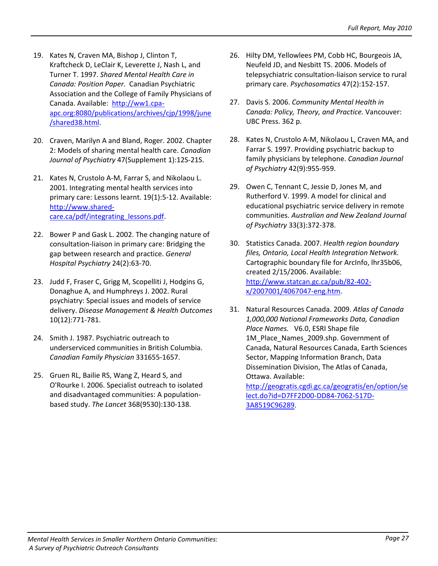- 19. Kates N, Craven MA, Bishop J, Clinton T, Kraftcheck D, LeClair K, Leverette J, Nash L, and Turner T. 1997. *Shared Mental Health Care in Canada: Position Paper.* Canadian Psychiatric Association and the College of Family Physicians of Canada. Available: [http://ww1.cpa](http://ww1.cpa-apc.org:8080/publications/archives/cjp/1998/june/shared38.html)‐ [apc.org:8080/publications/archives/cjp/1998/june](http://ww1.cpa-apc.org:8080/publications/archives/cjp/1998/june/shared38.html) [/shared38.html.](http://ww1.cpa-apc.org:8080/publications/archives/cjp/1998/june/shared38.html)
- 20. Craven, Marilyn A and Bland, Roger. 2002. Chapter 2: Models of sharing mental health care. *Canadian Journal of Psychiatry* 47(Supplement 1):12S‐21S.
- 21. Kates N, Crustolo A-M, Farrar S, and Nikolaou L. 2001. Integrating mental health services into primary care: Lessons learnt. 19(1):5‐12. Available: [http://www.shared](http://www.shared-care.ca/pdf/integrating_lessons.pdf)‐ [care.ca/pdf/integrating\\_lessons.pdf](http://www.shared-care.ca/pdf/integrating_lessons.pdf).
- 22. Bower P and Gask L. 2002. The changing nature of consultation‐liaison in primary care: Bridging the gap between research and practice. *General Hospital Psychiatry* 24(2):63‐70.
- 23. Judd F, Fraser C, Grigg M, Scopelliti J, Hodgins G, Donaghue A, and Humphreys J. 2002. Rural psychiatry: Special issues and models of service delivery. *Disease Management & Health Outcomes* 10(12):771‐781.
- 24. Smith J. 1987. Psychiatric outreach to underserviced communities in British Columbia. *Canadian Family Physician* 331655‐1657.
- 25. Gruen RL, Bailie RS, Wang Z, Heard S, and O'Rourke I. 2006. Specialist outreach to isolated and disadvantaged communities: A population‐ based study. *The Lancet* 368(9530):130‐138.
- 26. Hilty DM, Yellowlees PM, Cobb HC, Bourgeois JA, Neufeld JD, and Nesbitt TS. 2006. Models of telepsychiatric consultation‐liaison service to rural primary care. *Psychosomatics* 47(2):152‐157.
- 27. Davis S. 2006. *Community Mental Health in Canada: Policy, Theory, and Practice.* Vancouver: UBC Press. 362 p.
- 28. Kates N, Crustolo A-M, Nikolaou L, Craven MA, and Farrar S. 1997. Providing psychiatric backup to family physicians by telephone. *Canadian Journal of Psychiatry* 42(9):955‐959.
- 29. Owen C, Tennant C, Jessie D, Jones M, and Rutherford V. 1999. A model for clinical and educational psychiatric service delivery in remote communities. *Australian and New Zealand Journal of Psychiatry* 33(3):372‐378.
- 30. Statistics Canada. 2007. *Health region boundary files, Ontario, Local Health Integration Network.* Cartographic boundary file for ArcInfo, lhr35b06, created 2/15/2006. Available: [http://www.statcan.gc.ca/pub/82](http://www.statcan.gc.ca/pub/82-402-x/2007001/4067047-eng.htm)‐402‐ [x/2007001/4067047](http://www.statcan.gc.ca/pub/82-402-x/2007001/4067047-eng.htm)‐eng.htm.
- 31. Natural Resources Canada. 2009. *Atlas of Canada 1,000,000 National Frameworks Data, Canadian Place Names.* V6.0, ESRI Shape file 1M\_Place\_Names\_2009.shp. Government of Canada, Natural Resources Canada, Earth Sciences Sector, Mapping Information Branch, Data Dissemination Division, The Atlas of Canada, Ottawa. Available:

[http://geogratis.cgdi.gc.ca/geogratis/en/option/se](http://geogratis.cgdi.gc.ca/geogratis/en/option/select.do?id=D7FF2D00-DD84-7062-517D-3A8519C96289) [lect.do?id=D7FF2D00](http://geogratis.cgdi.gc.ca/geogratis/en/option/select.do?id=D7FF2D00-DD84-7062-517D-3A8519C96289)‐DD84‐7062‐517D‐ [3A8519C96289.](http://geogratis.cgdi.gc.ca/geogratis/en/option/select.do?id=D7FF2D00-DD84-7062-517D-3A8519C96289)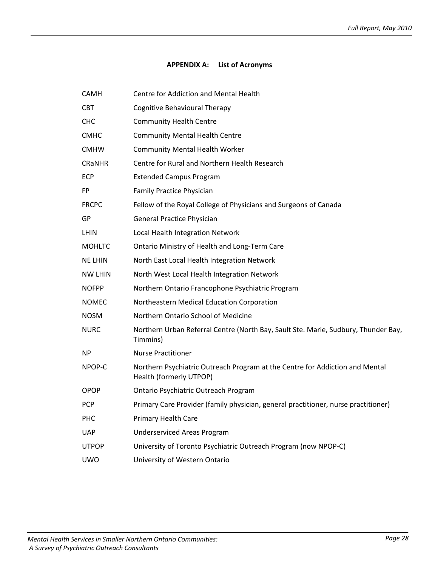## **APPENDIX A: List of Acronyms**

| <b>CAMH</b>    | Centre for Addiction and Mental Health                                                                  |
|----------------|---------------------------------------------------------------------------------------------------------|
| <b>CBT</b>     | <b>Cognitive Behavioural Therapy</b>                                                                    |
| <b>CHC</b>     | <b>Community Health Centre</b>                                                                          |
| <b>CMHC</b>    | <b>Community Mental Health Centre</b>                                                                   |
| <b>CMHW</b>    | <b>Community Mental Health Worker</b>                                                                   |
| <b>CRANHR</b>  | Centre for Rural and Northern Health Research                                                           |
| ECP            | <b>Extended Campus Program</b>                                                                          |
| <b>FP</b>      | <b>Family Practice Physician</b>                                                                        |
| <b>FRCPC</b>   | Fellow of the Royal College of Physicians and Surgeons of Canada                                        |
| GP             | <b>General Practice Physician</b>                                                                       |
| <b>LHIN</b>    | Local Health Integration Network                                                                        |
| <b>MOHLTC</b>  | Ontario Ministry of Health and Long-Term Care                                                           |
| <b>NE LHIN</b> | North East Local Health Integration Network                                                             |
| <b>NW LHIN</b> | North West Local Health Integration Network                                                             |
| <b>NOFPP</b>   | Northern Ontario Francophone Psychiatric Program                                                        |
| <b>NOMEC</b>   | Northeastern Medical Education Corporation                                                              |
| <b>NOSM</b>    | Northern Ontario School of Medicine                                                                     |
| <b>NURC</b>    | Northern Urban Referral Centre (North Bay, Sault Ste. Marie, Sudbury, Thunder Bay,<br>Timmins)          |
| <b>NP</b>      | <b>Nurse Practitioner</b>                                                                               |
| NPOP-C         | Northern Psychiatric Outreach Program at the Centre for Addiction and Mental<br>Health (formerly UTPOP) |
| <b>OPOP</b>    | Ontario Psychiatric Outreach Program                                                                    |
| PCP            | Primary Care Provider (family physician, general practitioner, nurse practitioner)                      |
| PHC            | Primary Health Care                                                                                     |
| <b>UAP</b>     | <b>Underserviced Areas Program</b>                                                                      |
| <b>UTPOP</b>   | University of Toronto Psychiatric Outreach Program (now NPOP-C)                                         |
| <b>UWO</b>     | University of Western Ontario                                                                           |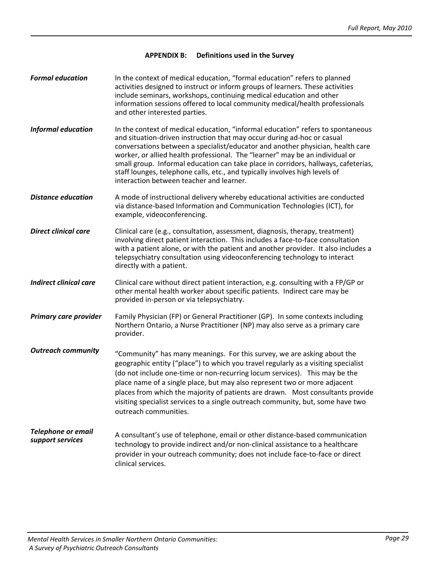#### **APPENDIX B: Definitions used in the Survey**

| <b>Formal education</b>                       | In the context of medical education, "formal education" refers to planned<br>activities designed to instruct or inform groups of learners. These activities<br>include seminars, workshops, continuing medical education and other<br>information sessions offered to local community medical/health professionals<br>and other interested parties.                                                                                                                                                                                           |
|-----------------------------------------------|-----------------------------------------------------------------------------------------------------------------------------------------------------------------------------------------------------------------------------------------------------------------------------------------------------------------------------------------------------------------------------------------------------------------------------------------------------------------------------------------------------------------------------------------------|
| <b>Informal education</b>                     | In the context of medical education, "informal education" refers to spontaneous<br>and situation-driven instruction that may occur during ad-hoc or casual<br>conversations between a specialist/educator and another physician, health care<br>worker, or allied health professional. The "learner" may be an individual or<br>small group. Informal education can take place in corridors, hallways, cafeterias,<br>staff lounges, telephone calls, etc., and typically involves high levels of<br>interaction between teacher and learner. |
| <b>Distance education</b>                     | A mode of instructional delivery whereby educational activities are conducted<br>via distance-based Information and Communication Technologies (ICT), for<br>example, videoconferencing.                                                                                                                                                                                                                                                                                                                                                      |
| <b>Direct clinical care</b>                   | Clinical care (e.g., consultation, assessment, diagnosis, therapy, treatment)<br>involving direct patient interaction. This includes a face-to-face consultation<br>with a patient alone, or with the patient and another provider. It also includes a<br>telepsychiatry consultation using videoconferencing technology to interact<br>directly with a patient.                                                                                                                                                                              |
| <b>Indirect clinical care</b>                 | Clinical care without direct patient interaction, e.g. consulting with a FP/GP or<br>other mental health worker about specific patients. Indirect care may be<br>provided in-person or via telepsychiatry.                                                                                                                                                                                                                                                                                                                                    |
| Primary care provider                         | Family Physician (FP) or General Practitioner (GP). In some contexts including<br>Northern Ontario, a Nurse Practitioner (NP) may also serve as a primary care<br>provider.                                                                                                                                                                                                                                                                                                                                                                   |
| <b>Outreach community</b>                     | "Community" has many meanings. For this survey, we are asking about the<br>geographic entity ("place") to which you travel regularly as a visiting specialist<br>(do not include one-time or non-recurring locum services). This may be the<br>place name of a single place, but may also represent two or more adjacent<br>places from which the majority of patients are drawn. Most consultants provide<br>visiting specialist services to a single outreach community, but, some have two<br>outreach communities.                        |
| <b>Telephone or email</b><br>support services | A consultant's use of telephone, email or other distance-based communication<br>technology to provide indirect and/or non-clinical assistance to a healthcare<br>provider in your outreach community; does not include face-to-face or direct<br>clinical services.                                                                                                                                                                                                                                                                           |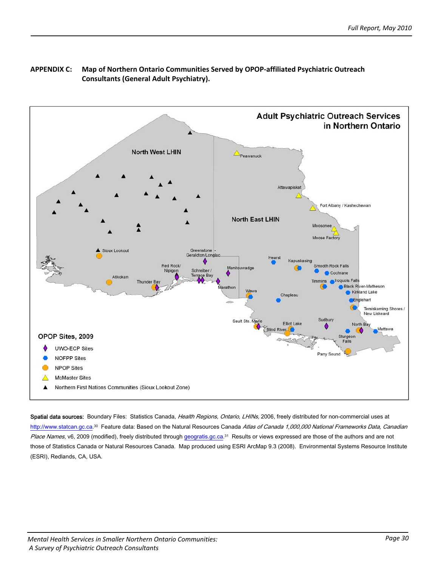

## **APPENDIX C: Map of Northern Ontario Communities Served by OPOP‐affiliated Psychiatric Outreach Consultants (General Adult Psychiatry).**

Spatial data sources: Boundary Files: Statistics Canada, Health Regions, Ontario, LHINs, 2006, freely distributed for non-commercial uses at [http://www.statcan.gc.ca](http://www.statcan.gc.ca/).<sup>30</sup> Feature data: Based on the Natural Resources Canada Atlas of Canada 1,000,000 National Frameworks Data, Canadian Place Names, v6, 2009 (modified), freely distributed through geogratis.gc.ca.<sup>31</sup> Results or views expressed are those of the authors and are not those of Statistics Canada or Natural Resources Canada. Map produced using ESRI ArcMap 9.3 (2008). Environmental Systems Resource Institute (ESRI), Redlands, CA, USA.